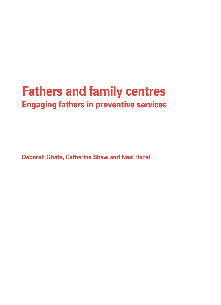# **Fathers and family centres Engaging fathers in preventive services**

**Deborah Ghate, Catherine Shaw and Neal Hazel**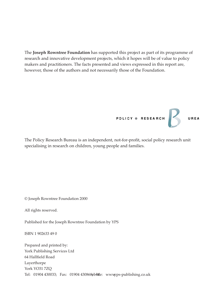The **Joseph Rowntree Foundation** has supported this project as part of its programme of research and innovative development projects, which it hopes will be of value to policy makers and practitioners. The facts presented and views expressed in this report are, however, those of the authors and not necessarily those of the Foundation.



The Policy Research Bureau is an independent, not-for-profit, social policy research unit specialising in research on children, young people and families.

© Joseph Rowntree Foundation 2000

All rights reserved.

Published for the Joseph Rowntree Foundation by YPS

ISBN 1 902633 49 0

Prepared and printed by: York Publishing Services Ltd 64 Hallfield Road Layerthorpe York YO31 7ZQ Tel: 01904 430033; Fax: 01904 430868ebMe: www.yps-publishing.co.uk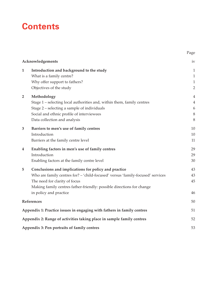## **Contents**

|                |                                                                                | Page             |  |
|----------------|--------------------------------------------------------------------------------|------------------|--|
|                | Acknowledgements                                                               | iv               |  |
| 1              | Introduction and background to the study                                       | $\mathbf{1}$     |  |
|                | What is a family centre?                                                       | $\mathbf{1}$     |  |
|                | Why offer support to fathers?                                                  | $\mathbf{1}$     |  |
|                | Objectives of the study                                                        | $\overline{2}$   |  |
| $\overline{2}$ | Methodology                                                                    | 4                |  |
|                | Stage 1 - selecting local authorities and, within them, family centres         | $\overline{4}$   |  |
|                | Stage 2 - selecting a sample of individuals                                    | $\boldsymbol{6}$ |  |
|                | Social and ethnic profile of interviewees                                      | $\,8\,$          |  |
|                | Data collection and analysis                                                   | 8                |  |
| 3              | Barriers to men's use of family centres                                        | 10               |  |
|                | Introduction                                                                   | 10               |  |
|                | Barriers at the family centre level                                            | 11               |  |
| 4              | Enabling factors in men's use of family centres                                | 29               |  |
|                | Introduction                                                                   | 29               |  |
|                | Enabling factors at the family centre level                                    | 30               |  |
| 5              | Conclusions and implications for policy and practice                           | 43               |  |
|                | Who are family centres for? - 'child-focused' versus 'family-focused' services | 43               |  |
|                | The need for clarity of focus                                                  | 45               |  |
|                | Making family centres father-friendly: possible directions for change          |                  |  |
|                | in policy and practice                                                         | 46               |  |
|                | References                                                                     |                  |  |
|                | Appendix 1: Practice issues in engaging with fathers in family centres         | 51               |  |
|                | Appendix 2: Range of activities taking place in sample family centres          | 52               |  |
|                | Appendix 3: Pen portraits of family centres                                    | 53               |  |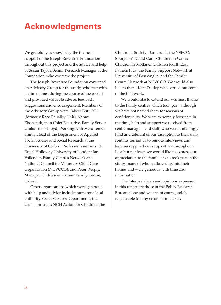## **Acknowledgments**

We gratefully acknowledge the financial support of the Joseph Rowntree Foundation throughout this project and the advice and help of Susan Taylor, Senior Research Manager at the Foundation, who oversaw the project.

The Joseph Rowntree Foundation convened an Advisory Group for the study, who met with us three times during the course of the project and provided valuable advice, feedback, suggestions and encouragement. Members of the Advisory Group were: Jabeer Butt, REU (formerly Race Equality Unit); Naomi Eisenstadt, then Chief Executive, Family Service Units; Trefor Lloyd, Working with Men; Teresa Smith, Head of the Department of Applied Social Studies and Social Research at the University of Oxford; Professor Jane Tunstill, Royal Holloway University of London; Ian Vallender, Family Centres Network and National Council for Voluntary Child Care Organisation (NCVCCO); and Peter Welply, Manager, Cuddesden Corner Family Centre, Oxford.

Other organisations which were generous with help and advice include: numerous local authority Social Services Departments; the Ormiston Trust; NCH Action for Children; The

Children's Society; Barnardo's; the NSPCC; Spurgeon's Child Care; Children in Wales; Children in Scotland; Children North East; Fathers Plus; the Family Support Network at University of East Anglia; and the Family Centre Network at NCVCCO. We would also like to thank Kate Oakley who carried out some of the fieldwork.

We would like to extend our warmest thanks to the family centres which took part, although we have not named them for reasons of confidentiality. We were extremely fortunate in the time, help and support we received from centre managers and staff, who were unfailingly kind and tolerant of our disruption to their daily routine, ferried us to remote interviews and kept us supplied with cups of tea throughout. Last but not least, we would like to express our appreciation to the families who took part in the study, many of whom allowed us into their homes and were generous with time and information.

The interpretations and opinions expressed in this report are those of the Policy Research Bureau alone and we are, of course, solely responsible for any errors or mistakes.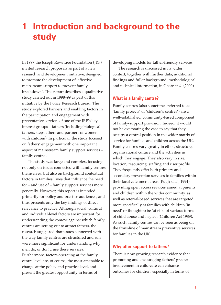## **1 Introduction and background to the study**

In 1997 the Joseph Rowntree Foundation (JRF) invited research proposals as part of a new research and development initiative, designed to promote the development of 'effective mainstream support to prevent family breakdown'. This report describes a qualitative study carried out in 1998–99 as part of this initiative by the Policy Research Bureau. The study explored barriers and enabling factors in the participation and engagement with preventative services of one of the JRF's key interest groups – fathers (including biological fathers, step-fathers and partners of women with children). In particular, the study focused on fathers' engagement with one important aspect of mainstream family support services – family centres.

The study was large and complex, focusing not only on issues connected with family centres themselves, but also on background contextual factors in families' lives that influence the need for – and use of – family support services more generally. However, this report is intended primarily for policy and practice audiences, and thus presents only the key findings of direct relevance to practice. Although social, cultural and individual-level factors are important for understanding the context against which family centres are setting out to attract fathers, the research suggested that issues connected with the way family centres are structured and run were more significant for understanding why men do, or don't, use these services. Furthermore, factors operating at the familycentre level are, of course, the most amenable to change at the policy and practice level, and present the greatest opportunity in terms of

developing models for father-friendly services.

The research is discussed in its wider context, together with further data, additional findings and fuller background, methodological and technical information, in Ghate *et al.* (2000).

### **What is a family centre?**

Family centres (also sometimes referred to as 'family projects' or 'children's centres') are a well-established, community-based component of family-support provision. Indeed, it would not be overstating the case to say that they occupy a central position in the wider matrix of service for families and children across the UK. Family centres vary greatly in ethos, structure, organisational culture and the activities in which they engage. They also vary in size, location, resourcing, staffing and user profile. They frequently offer both primary and secondary prevention services to families within their local catchment areas (Pugh *et al*., 1994), providing open access services aimed at parents and children within the wider community, as well as referral-based services that are targeted more specifically at families with children 'in need' or thought to be 'at risk' of various forms of child abuse and neglect (Children Act 1989). As such, family centres can be seen as being on the front-line of mainstream preventive services for families in the UK.

## **Why offer support to fathers?**

There is now growing research evidence that promoting and encouraging fathers' greater involvement in child-care can enhance outcomes for children, especially in terms of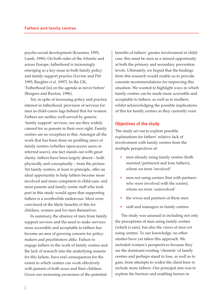psycho-social development (Kraemer, 1995; Lamb, 1996). On both sides of the Atlantic and across Europe, fatherhood is increasingly emerging as a key issue in both family policy and family support practice (Levine and Pitt 1995; Burghes *et al*. 1997). In the UK, 'Fatherhood [is] on the agenda as never before' (Burgess and Ruxton, 1996).

Yet, in spite of increasing policy and practice interest in fatherhood, provision of services for men as child-carers lags behind that for women. Fathers are neither well-served by generic 'family support' services, nor are they widely catered for as parents in their own right. Family centres are no exception to this. Amongst all the work that has been done on profiling users of family centres (whether open-access users or referred users), one fact stands out with great clarity: fathers have been largely absent – both physically and conceptually – from the picture. Yet family centres, at least in principle, offer an ideal opportunity to help fathers become more involved and more competent in child-care, and most parents and family centre staff who took part in this study would agree that supporting fathers is a worthwhile endeavour. Most were convinced of the likely benefits of this for children, women and for men themselves.

In summary, the absence of men from family support services and the need to make services more accessible and acceptable to fathers has become an area of growing concern for policymakers and practitioners alike. Failure to engage fathers in the work of family centres and the lack of research into the underlying reasons for this failure, have real consequences for the extent to which centres can work effectively with parents of both sexes and their children. Given our increasing awareness of the potential

benefits of fathers' greater involvement in childcare, this must be seen as a missed opportunity at both the primary and secondary prevention levels. Ultimately, we hoped that the findings from this research would enable us to provide concrete recommendations for improving this situation. We wanted to highlight ways in which family centres can be made more accessible and acceptable to fathers, as well as to mothers, whilst acknowledging the possible implications of this for family centres as they currently exist.

#### **Objectives of the study**

The study set out to explore possible explanations for fathers' relative lack of involvement with family centres from the multiple perspectives of:

- men already using family centres (both married/partnered and lone fathers), whom we term 'involved'
- men not using centres (but with partners who were involved with the centre), whom we term 'uninvolved'
- the wives and partners of these men
- staff and managers in family centres.

The study was unusual in including not only the perceptions of men using family centres (which is rare), but also the views of men *not* using centres. To our knowledge, no other studies have yet taken this approach. We included women's perspectives because they are the dominant existing 'clientele' of family centres and perhaps stand to lose, as well as to gain, from attempts to widen the client base to include more fathers. Our principal aim was to explore the barriers and enabling factors in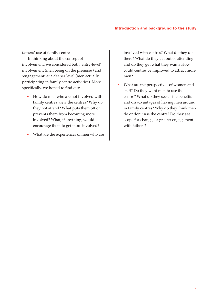fathers' use of family centres.

In thinking about the concept of involvement, we considered both 'entry-level' involvement (men being on the premises) and 'engagement' at a deeper level (men actually participating in family centre activities). More specifically, we hoped to find out:

- How do men who are not involved with family centres view the centres? Why do they not attend? What puts them off or prevents them from becoming more involved? What, if anything, would encourage them to get more involved?
- What are the experiences of men who are

involved with centres? What do they do there? What do they get out of attending and do they get what they want? How could centres be improved to attract more men?

What are the perspectives of women and staff? Do they want men to use the centre? What do they see as the benefits and disadvantages of having men around in family centres? Why do they think men do or don't use the centre? Do they see scope for change, or greater engagement with fathers?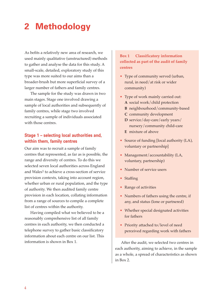## **2 Methodology**

As befits a relatively new area of research, we used mainly qualitative (unstructured) methods to gather and analyse the data for this study. A small-scale, detailed, exploratory study of this type was more suited to our aims than a broader-brush but more superficial survey of a larger number of fathers and family centres.

The sample for the study was drawn in two main stages. Stage one involved drawing a sample of local authorities and subsequently of family centres, while stage two involved recruiting a sample of individuals associated with those centres.

### **Stage 1 – selecting local authorities and, within them, family centres**

Our aim was to recruit a sample of family centres that represented, as far as is possible, the range and diversity of centres. To do this we selected seven local authorities across England and Wales1 to achieve a cross-section of service provision contexts, taking into account region, whether urban or rural population, and the type of authority. We then audited family centre provision in each location, collating information from a range of sources to compile a complete list of centres within the authority.

Having compiled what we believed to be a reasonably comprehensive list of all family centres in each authority, we then conducted a telephone survey to gather basic classificatory information about each centre on our list. This information is shown in Box 1.

### **Box 1 Classificatory information collected as part of the audit of family centres**

- Type of community served (urban, rural, in need/at risk or wider community)
- Type of work mainly carried out: **A** social work/child protection
	- **B** neighbourhood/community-based
	- **C** community development
	- **D** service/day-care/early years/ nursery/community child-care
	- **E** mixture of above
- Source of funding [local authority (LA), voluntary or partnership]
- Management/accountability (LA, voluntary, partnership)
- Number of service users
- Staffing
- Range of activities
- Numbers of fathers using the centre, if any, and status (lone or partnered)
- Whether special designated activities for fathers
- Priority attached to/level of need perceived regarding work with fathers

After the audit, we selected two centres in each authority, aiming to achieve, in the sample as a whole, a spread of characteristics as shown in Box 2.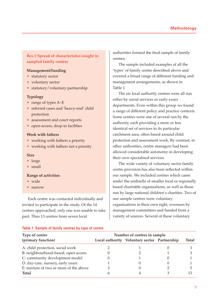**Box 2 Spread of characteristics sought in sampled family centres**

#### **Management/funding**

- statutory sector
- voluntary sector
- statutory/voluntary partnership

#### **Typology**

- range of types A–E
- referred cases and 'heavy-end' child protection
- assessment and court reports
- open-access, drop-in facilities

#### **Work with fathers**

- working with fathers a priority
- working with fathers not a priority

#### **Size**

- large
- small

#### **Range of activities**

- wide
- narrow

Each centre was contacted individually and invited to participate in the study. Of the 14 centres approached, only one was unable to take part. Thus 13 centres from seven local

#### **Table 1 Sample of family centres by type of centre**

authorities formed the final sample of family centres.

The sample included examples of all the 'types' of family centre described above and covered a broad range of different funding and management arrangements, as shown in Table 1.

The six local authority centres were all run either by social services or early-years departments. Even within this group we found a range of different policy and practice contexts. Some centres were one of several run by the authority, each providing a more or less identical set of services to its particular catchment area, often based around child protection and assessment work. By contrast, in other authorities, centre managers had been allowed considerable autonomy in developing their own specialised services.

The wide variety of voluntary sector family centre provision has also been reflected within our sample. We included centres which came under the umbrella of smaller local or regionally based charitable organisations, as well as those run by large national children's charities. Two of our sample centres were voluntary organisations in their own right, overseen by management committees and funded from a variety of sources. Several of these voluntary

| Type of centre                         | Number of centres in sample |                                              |  |       |
|----------------------------------------|-----------------------------|----------------------------------------------|--|-------|
| (primary function)                     |                             | Local authority Voluntary sector Partnership |  | Total |
| A: child protection, social work       |                             |                                              |  |       |
| B: neighbourhood-based, open access    |                             |                                              |  |       |
| C: community development model         |                             |                                              |  |       |
| D: day-care, nursery, early years      |                             |                                              |  |       |
| E: mixture of two or more of the above |                             |                                              |  | 5     |
| <b>Total</b>                           |                             |                                              |  |       |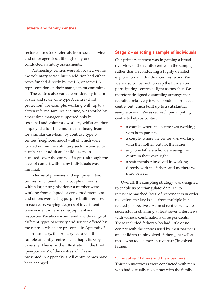sector centres took referrals from social services and other agencies, although only one conducted statutory assessments.

'Partnership' centres were all located within the voluntary sector, but in addition had either posts funded directly by the LA, or some LA representation on their management committee.

The centres also varied considerably in terms of size and scale. One type A centre (child protection), for example, working with up to a dozen referred families at a time, was staffed by a part-time manager supported only by sessional and voluntary workers, whilst another employed a full-time multi-disciplinary team for a similar case-load. By contrast, type B centres (neighbourhood) – all of which were located within the voluntary sector – tended to number their adult and child 'users' in hundreds over the course of a year, although the level of contact with many individuals was minimal.

In terms of premises and equipment, two centres functioned from a couple of rooms within larger organisations; a number were working from adapted or converted premises; and others were using purpose-built premises. In each case, varying degrees of investment were evident in terms of equipment and resources. We also encountered a wide range of different types of activity and service offered by the centres, which are presented in Appendix 2.

In summary, the primary feature of this sample of family centres is, perhaps, its very diversity. This is further illustrated in the brief 'pen-portraits' of the centres which are presented in Appendix 3. All centre names have been changed.

#### **Stage 2 – selecting a sample of individuals**

Our primary interest was in gaining a broad overview of the family centres in the sample, rather than in conducting a highly detailed exploration of individual centres' work. We were also concerned to keep the burden on participating centres as light as possible. We therefore designed a sampling strategy that recruited relatively few respondents from each centre, but which built up to a substantial sample overall. We asked each participating centre to help us contact:

- a couple, where the centre was working with both parents
- a couple, where the centre was working with the mother, but not the father
- any lone fathers who were using the centre in their own right
- a staff member involved in working directly with the fathers and mothers we interviewed.

Overall, the sampling strategy was designed to enable us to 'triangulate' data, i.e. to interview matched 'sets' of respondents in order to explore the key issues from multiple but related perspectives. At most centres we were successful in obtaining at least seven interviews with various combinations of respondents. These included fathers who had little or no contact with the centres used by their partners and children ('uninvolved' fathers), as well as those who took a more active part ('involved' fathers).

#### **'Uninvolved' fathers and their partners**

Thirteen interviews were conducted with men who had virtually no contact with the family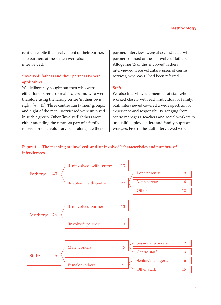centre, despite the involvement of their partner. The partners of these men were also interviewed.

#### **'Involved' fathers and their partners (where applicable)**

We deliberately sought out men who were either lone parents or main carers and who were therefore using the family centre 'in their own right' ( $n = 15$ ). Three centres ran fathers' groups, and eight of the men interviewed were involved in such a group. Other 'involved' fathers were either attending the centre as part of a family referral, or on a voluntary basis alongside their

partner. Interviews were also conducted with partners of most of these 'involved' fathers.2 Altogether 15 of the 'involved' fathers interviewed were voluntary users of centre services, whereas 12 had been referred.

#### **Staff**

We also interviewed a member of staff who worked closely with each individual or family. Staff interviewed covered a wide spectrum of experience and responsibility, ranging from centre managers, teachers and social workers to unqualified play-leaders and family-support workers. Five of the staff interviewed were

## **Figure 1 The meaning of 'involved' and 'uninvolved': characteristics and numbers of interviewees**

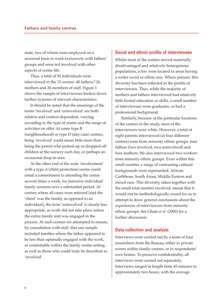male, two of whom were employed on a sessional basis to work exclusively with fathers' groups and were not involved with other aspects of centre life.

Thus, a total of 92 individuals were interviewed in the 13 centres: 40 fathers,3 26 mothers and 26 members of staff. Figure 1 shows the sample of interviewees broken down further in terms of relevant characteristics.

It should be noted that the meanings of the terms 'involved' and 'uninvolved' are both relative and context-dependent, varying according to the type of centre and the range of activities on offer. At some type B (neighbourhood) or type D (day-care) centres, being 'involved' could mean little more than being the parent who picked-up or dropped-off children at the nursery each day, or perhaps an occasional drop-in user.

At the other end of the scale 'involvement' with a type A (child protection) centre could entail a commitment to attending the centre several times a week, for intensive individual family sessions over a substantial period. At centres where all cases were referred (and the 'client' was the family, as opposed to an individual), the term 'uninvolved' is clearly less appropriate, as work did not take place unless the entire family unit was engaged in the process. At such centres we attempted to ensure, by consultation with staff, that our sample included families where the father appeared to be less than optimally engaged with the work, or comfortable within the family centre setting, as well as those who could truly be described as 'involved'.

#### **Social and ethnic profile of interviewees**

Whilst most of the centres served materially disadvantaged and relatively homogenous populations, a few were located in areas having a wider social or ethnic mix. Where present, this diversity has been reflected in the profile of interviewees. Thus, while the majority of mothers and fathers interviewed had relatively little formal education or skills, a small number of interviewees were graduates, or had a professional background.

Similarly, because of the particular locations of the centres in the study, most of the interviewees were white. However, a total of eight parents interviewed (at four different centres) were from minority ethnic groups: four fathers (two involved, two uninvolved) and four mothers. We also interviewed two workers from minority ethnic groups. Even within this small number, a range of contrasting cultural backgrounds were represented: African, Caribbean, South Asian, Middle Eastern and mixed race. This diversity, taken together with the small total number involved, meant that it would not be methodologically sound for us to attempt to draw general conclusions about the experiences of interviewees from minority ethnic groups. See Ghate *et al*. (2000) for a further discussion.

#### **Data collection and analysis**

Interviews were carried out by a team of four researchers from the Bureau, either in private rooms within family centres, or in respondents' own homes. To preserve confidentiality, all interviews were carried out separately. Interviews ranged in length from 45 minutes to approximately two hours, with the average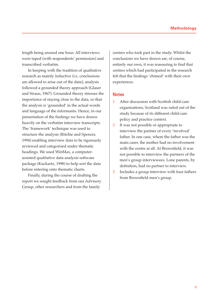length being around one hour. All interviews were taped (with respondents' permission) and transcribed verbatim.

In keeping with the tradition of qualitative research as mainly inductive (i.e. conclusions are allowed to arise out of the data), analysis followed a grounded theory approach (Glaser and Straus, 1967). Grounded theory stresses the importance of staying close to the data, so that the analysis is 'grounded' in the actual words and language of the informants. Hence, in our presentation of the findings we have drawn heavily on the verbatim interview transcripts. The 'framework' technique was used to structure the analysis (Ritchie and Spencer, 1994) enabling interview data to be rigorously reviewed and categorised under thematic headings. We used WinMax, a computerassisted qualitative data analysis software package (Kuckartz, 1998) to help sort the data before entering onto thematic charts.

Finally, during the course of drafting the report we sought feedback from our Advisory Group, other researchers and from the family

centres who took part in the study. Whilst the conclusions we have drawn are, of course, entirely our own, it was reassuring to find that centres which had participated in the research felt that the findings 'chimed' with their own experiences.

#### **Notes**

- 1 After discussion with Scottish child-care organisations, Scotland was ruled out of the study because of its different child-care policy and practice context.
- 2 It was not possible or appropriate to interview the partner of every 'involved' father. In one case, where the father was the main carer, the mother had no involvement with the centre at all. At Brownfield, it was not possible to interview the partners of the men's group interviewees. Lone parents, by definition, had no partner to interview.
- 3 Includes a group interview with four fathers from Brownfield men's group.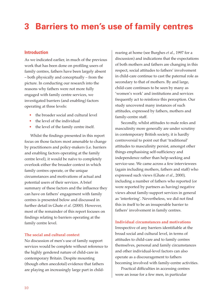## **3 Barriers to men's use of family centres**

### **Introduction**

As we indicated earlier, in much of the previous work that has been done on profiling users of family centres, fathers have been largely absent – both physically and conceptually – from the picture. In conducting our research into the reasons why fathers were not more fully engaged with family centre services, we investigated barriers (and enabling) factors operating at three levels:

- the broader social and cultural level
- the level of the individual
- the level of the family centre itself.

Whilst the findings presented in this report focus on those factors most amenable to change by practitioners and policy-makers (i.e. barriers and enabling factors operating at the family centre level), it would be naïve to completely overlook either the broader context in which family centres operate, or the unique circumstances and motivations of actual and potential users of their services. A brief summary of these factors and the influence they can have on fathers' engagement with family centres is presented below and discussed in further detail in Ghate *et al*. (2000). However, most of the remainder of this report focuses on findings relating to barriers operating at the family centre level.

#### **The social and cultural context**

No discussion of men's use of family support services would be complete without reference to the highly gendered nature of child-care in contemporary Britain. Despite mounting (though often anecdotal) evidence that fathers are playing an increasingly large part in childrearing at home (see Burghes *et al*., 1997 for a discussion) and indications that the expectations of both mothers and fathers are changing in this respect, social attitudes to fathers' involvement in child-care continue to cast the paternal role as secondary to that of mothers. By and large, child-care continues to be seen by many as 'women's work' and institutions and services frequently act to reinforce this perception. Our study uncovered many instances of such attitudes, expressed by fathers, mothers and family-centre staff.

Secondly, whilst attitudes to male roles and masculinity more generally are under scrutiny in contemporary British society, it is hardly controversial to point out that 'traditional' attitudes to masculinity persist, amongst other things emphasising self-sufficiency and independence rather than help-seeking and service-use. We came across a few interviewees (again including mothers, fathers and staff) who expressed such views (Ghate *et al*., 2000), including a number of fathers who reported (or were reported by partners as having) negative views about family-support services in general as 'interfering'. Nevertheless, we did not find this in itself to be an insuperable barrier to fathers' involvement in family centres.

#### **Individual circumstances and motivations**

Irrespective of any barriers identifiable at the broad social and cultural level, in terms of attitudes to child-care and to family centres themselves, personal and family circumstances and other individual-level factors can also operate as a discouragement to fathers becoming involved with family-centre activities.

Practical difficulties in accessing centres were an issue for a few men, in particular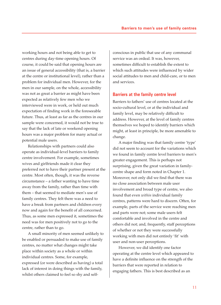working hours and not being able to get to centres during day-time opening hours. Of course, it could be said that opening hours are an issue of general accessibility (that is, a barrier at the centre or institutional level), rather than a problem for individual men. However, for the men in our sample, on the whole, accessibility was not as great a barrier as might have been expected as relatively few men who we interviewed were in work, or held out much expectation of finding work in the foreseeable future. Thus, at least as far as the centres in our sample were concerned, it would not be true to say that the lack of late or weekend opening hours was a major problem for many actual or potential male users.

Relationships with partners could also operate as individual-level barriers to family centre involvement. For example, sometimes wives and girlfriends made it clear they preferred not to have their partner present at the centre. Most often, though, it was the reverse circumstance – a father wanting to have time away from the family, rather than time with them – that seemed to mediate men's use of family centres. They felt there was a need to have a break from partners and children every now and again for the benefit of all concerned. Thus, as some men expressed it, sometimes the need was for men positively not to go to the centre, rather than to go.

A small minority of men seemed unlikely to be enabled or persuaded to make use of family centres, no matter what changes might take place within society as a whole or within individual centres. Some, for example, expressed (or were described as having) a total lack of interest in doing things with the family, whilst others claimed to feel so shy and selfconscious in public that use of any communal service was an ordeal. It was, however, sometimes difficult to establish the extent to which such attitudes were influenced by wider social attitudes to men and child-care, or to men and services.

#### **Barriers at the family centre level**

Barriers to fathers' use of centres located at the socio-cultural level, or at the individual and family level, may be relatively difficult to address. However, at the level of family centres themselves we hoped to identify barriers which might, at least in principle, be more amenable to change*.*

A major finding was that family centre 'type' did not seem to account for the variations which we found in family centre level barriers to men's greater engagement. This is perhaps not surprising, given the great variation in familycentre shape and form noted in Chapter 1. Moreover, not only did we find that there was no close association between male user involvement and broad type of centre, we also found that even *within* individual family centres, patterns were hard to discern. Often, for example, parts of the service were reaching men and parts were not; some male users felt comfortable and involved in the centre and others did not; and, frequently, staff perceptions of whether or not they were successfully working with men did not entirely 'fit' with user and non-user perceptions.

However, we did identify one factor operating at the centre level which appeared to have a definite influence on the strength of the barriers that were reported in relation to engaging fathers. This is best described as an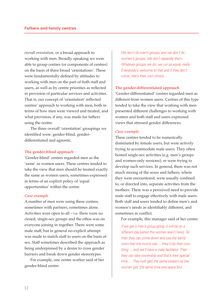*overall orientation,* or a broad approach to working with men. Broadly speaking we were able to group centres (or components of centres) on the basis of three broad 'orientations'. These were fundamentally defined by attitudes to working with men on the part of both staff and users, as well as by centre priorities as reflected in provision of particular services and activities. That is, our concept of 'orientation' reflected centres' approach to working with men, both in terms of how men were viewed and treated, and what provision, if any, was made for fathers using the centre.

The three overall 'orientation' groupings we identified were: gender-blind, genderdifferentiated and agnostic.

#### **The gender-blind approach**

'Gender-blind' centres regarded men as the 'same' as women users. These centres tended to take the view that men should be treated exactly the same as women users, sometimes expressed in terms of an explicit policy of 'equal opportunities' within the centre.

#### *Case example*

A number of men were using these centres, sometimes with partners, sometimes alone. Activities were open to all – i.e. there were no closed, single-sex groups and the ethos was on everyone joining in together. There were some male staff, but in general no explicit attempt was made to match staff to users on the basis of sex. Staff sometimes described the approach as being underpinned by a desire to cross gender barriers and break down gender stereotypes.

For example, one centre worker said of her gender-blind centre:

We don't do men's groups, and we don't do women's groups. We don't separate them. Whatever groups we do, we run as equal, really. Everybody's welcome to that and if they don't come, that's their own choice.

#### **The gender-differentiated approach**

'Gender-differentiated' centres regarded men as different from women users. Centres of this type tended to take the view that working with men presented different challenges to working with women and both staff and users expressed views that stressed gender differences.

#### *Case example*

These centres tended to be numerically dominated by female users, but were actively trying to accommodate male users. They often hosted single-sex activities (e.g. men's groups and women-only sessions), or were trying to develop such services. In general, there was not much mixing of the sexes and fathers, where they were encountered, were usually confined to, or directed into, separate activities from the mothers. There was a perceived need to provide male staff to engage effectively with male users. Both staff and users tended to define men's and women's needs as identifiably different, and sometimes in conflict.

For example, this manager said of her centre:

If we get a men's group going, it will be on a different day [when the women aren't here]. So then they can come down and use the same room that the mums use … they'd do their own thing … and we'll have a male facilitator. Then they can take ownership and that's their special time … They [will get] the same esteem as the women get, the same time and space [but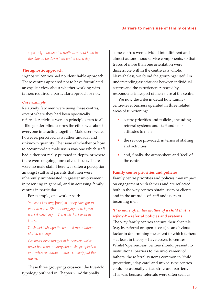separatelyl because the mothers are not keen for the dads to be down here on the same day.

#### **The agnostic approach**

'Agnostic' centres had no identifiable approach. These centres appeared not to have formulated an explicit view about whether working with fathers required a particular approach or not.

#### *Case example*

Relatively few men were using these centres, except where they had been specifically referred. Activities were in principle open to all – like gender-blind centres the ethos was about everyone interacting together. Male users were, however, perceived as a rather unusual and unknown quantity. The issue of whether or how to accommodate male users was one which staff had either not really pursued in depth, or where there were ongoing, unresolved issues. There were no male staff. There was often a perception amongst staff and parents that men were inherently uninterested in greater involvement in parenting in general, and in accessing family centres in particular.

For example, one worker said:

You can't just drag [men] in – they have got to want to come. Short of dragging them in, we can't do anything … The dads don't want to know.

Q: Would it change the centre if more fathers started coming?

I've never even thought of it, because we've never had men to worry about. We just plod on with whoever comes ... and it's mainly just the mums.

These three groupings cross-cut the five-fold typology outlined in Chapter 2. Additionally,

some centres were divided into different and almost autonomous service components, so that traces of more than one orientation were discernible within the centre as a whole. Nevertheless, we found the groupings useful in understanding associations between individual centres and the experiences reported by respondents in respect of men's use of the centre.

We now describe in detail how familycentre-level barriers operated in three related areas of functioning:

- centre priorities and policies, including referral systems and staff and user attitudes to men
- the service provided, in terms of staffing and activities
- and, finally, the atmosphere and 'feel' of the centre.

#### **Family centre priorities and policies**

Family centre priorities and policies may impact on engagement with fathers and are reflected both in the way centres obtain users or clients and in the attitudes of staff and users to incoming men.

### *'It is more often the mother of a child that is referred' –* **referral policies and systems**

The way family centres acquire their clientele (e.g. by referral or open-access) is an obvious factor in determining the extent to which fathers – at least in theory – have access to centres. Whilst 'open-access' centres should present no institutional barriers to the involvement of fathers, the referral systems common in 'child protection', 'day-care' and mixed-type centres could occasionally act as structural barriers. This was because referrals were often seen as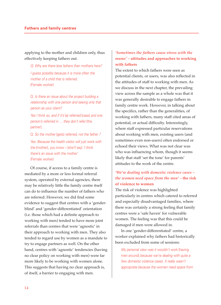applying to the mother and children only, thus effectively keeping fathers out.

Q: Why are there less fathers than mothers here? I guess possibly because it is more often the mother of a child that is referred. (Female worker)

Q: Is there an issue about the project building a relationship with one person and seeing only that person as your client?

Yes I think so, and if it's [a] referred [case] and one person's referred in … they don't refer [the partner].

Q: So the mother [gets] referred, not the father ? Yes. Because the health visitor will just work with the [mother], you know – [she'll say] 'I think there's an issue with the mother'. (Female worker)

Of course, if access to a family centre is mediated by a more or less formal referral system, operated by external agencies, there may be relatively little the family centre itself can do to influence the number of fathers who are referred. However, we did find some evidence to suggest that centres with a 'genderblind' and 'gender-differentiated' orientation (i.e. those which had a definite approach to working with men) tended to have more joint referrals than centres that were 'agnostic' in their approach to working with men. They also tended to regard use by women as a mandate to try to engage partners as well. On the other hand, centres with 'agnostic' tendencies (having no clear policy on working with men) were far more likely to be working with women alone. This suggests that having no clear approach is, of itself, a barrier to engaging with men.

## *'Sometimes the fathers cause stress with the mums' –* **attitudes and approaches to working with fathers**

The extent to which fathers were seen as potential clients, or users, was also reflected in the attitudes of staff to working with men. As we discuss in the next chapter, the prevailing view across the sample as a whole was that it was generally desirable to engage fathers in family centre work. However, in talking about the specifics, rather than the generalities, of working with fathers, many staff cited areas of potential, or actual difficulty. Interestingly, where staff expressed particular reservations about working with men, existing users (and sometimes even non-users) often endorsed or echoed their views. What was not clear was who was influencing whom, though it seems likely that staff 'set the tone' for parents' attitudes to the work of the centre.

## *'We're dealing with domestic violence cases – the women need space from the men' –* **the risk of violence to women**

The risk of violence was highlighted particularly in centres which catered to referred and especially disadvantaged families, where there was certainly a strong feeling that family centres were a 'safe haven' for vulnerable women. The feeling was that this could be damaged if men were allowed in.

In one 'gender-differentiated' centre, a worker explained why fathers had historically been excluded from some of sessions:

My personal view was it wouldn't work [having men around] because we're dealing with quite a few domestic violence cases. It really wasn't appropriate because the women need space from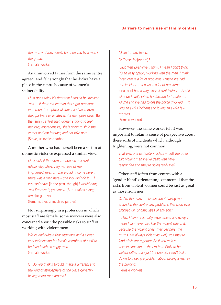the men and they would be unnerved by a man in the group. (Female worker)

An uninvolved father from the same centre agreed, and felt strongly that he didn't have a place in the centre because of women's vulnerability:

I just don't think it's right that I should be involved 'cos … if there's a woman that's got problems … with men, from physical abuse and such from their partners or whatever, if a man goes down [to the family centre] that woman's going to feel nervous, apprehensive, she's going to sit in the corner and not interact, and not take part … (Steve, uninvolved father)

A mother who had herself been a victim of domestic violence expressed a similar view:

Obviously if the woman's been in a violent relationship she's very nervous of men. Frightened, even … She wouldn't come here if there was a man here – she wouldn't do it … I wouldn't have [in the past, though] I would now, 'cos I'm over it, you know. [But] it takes a long time [to get over it]. (Terri, mother, uninvolved partner)

Not surprisingly in a profession in which most staff are female, some workers were also concerned about the possible risks to staff of working with violent men:

We've had quite a few situations and it's been very intimidating for female members of staff to be faced with an angry man. (Female worker)

Q: Do you think it [would] make a difference to the kind of atmosphere of the place generally, having more men around?

Make it more tense.

Q: Tense for [whom]?

[Laughter] Everyone, I think. I mean I don't think it's an easy option, working with the men. I think it can create a lot of problems. I mean we had one incident … it caused a lot of problems … [one man] had a very, very violent history… And it all ended badly when he decided to threaten to kill me and we had to get the police involved … It was an awful incident and it was an awful few months.

(Female worker)

However, the same worker felt it was important to retain a sense of perspective about these sorts of incidents which, although frightening, were not common:

That was one particular incident – [but] the other two violent men we've dealt with have responded and they're doing really well …

Other staff (often from centres with a 'gender-blind' orientation) commented that the risks from violent women could be just as great as those from men:

Q: Are there any … issues about having men around in the centre, any problems that have ever cropped up, or difficulties of any sort?

… No, I haven't actually experienced any really, I mean I can't even say like the violent side of it, because the violent ones, their partners, the mums, are always violent as well, 'cos they're kind of violent together. So if you're in a … volatile situation … they're both likely to be violent rather than just the one. So I can't boil it down to it being a problem about having a man in the building. (Female worker)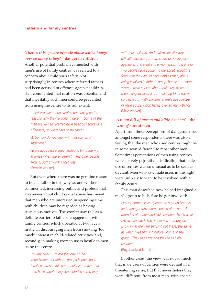## *'There's this spectre of male abuse which hangs over so many things'* **– danger to children**

Another potential problem connected with men's use of family centres was related to a concern about children's safety. Not surprisingly, in centres where referred fathers had been accused of offences against children, staff commented that caution was essential and that inevitably such men could be prevented from using the centre to its full extent:

I think we have to be careful, depending on the reasons why they're coming here … Some of the men we've had referred have been Schedule One offenders, so we'd have to be careful.

Q: So how do you deal with those kinds of situations?

[In previous cases] they tended to bring them in at times when there weren't many other people around, sort of work it that way. [Female worker]

But even where there was no genuine reason to treat a father in this way, as one worker commented, increasing public and professional awareness about child sexual abuse has meant that men who are interested in spending time with children may be regarded as having suspicious motives. The worker saw this as a definite barrier to fathers' engagement with family centres, which operated at two levels: firstly, in discouraging men from showing 'too much' interest in child-related activities; and, secondly, in making women users hostile to men using the centre.

It's very clear … to me that one of the impediments for fathers' groups happening in family centres in this community is the fear that men have about being connected in some way

with their children. And that makes life very difficult because it … forms part of an unspoken agenda in [this area] at the moment ... And one or two people have spoken to me about, about the fears that they would have both as men, about being involved in fathers' group, but also … some women have spoken about their suspicions of men being involved and … wanting to be more connected … with children. There's this spectre of male abuse which hangs over so many things. (Male worker)

### *'A room full of queers and bible-bashers' –* **the 'wrong' sort of men**

Apart from these perceptions of dangerousness, amongst some respondents there was also a feeling that the men who used centres might be in some way 'different' to most other men. Sometimes perceptions of men using centres were actively pejorative – indicating that male use of centres was so unusual as to be seen as deviant. Men who saw male users in this light were unlikely to want to be involved with a family centre.

This man described how he had imagined a men's group to be before he got involved:

I knew [someone who] come to a group like this, and I thought they were a bunch of tossers. A room full of queers and bible-bashers. That's what I really expected. The problem is stereotypes. I know what men are thinking out there, the same as what I was thinking before I come to the group: 'They're all gay and they're all biblebashers'. (Roy, involved father)

In other cases, the view was not so much that male users of centres were deviant in a threatening sense, but that nevertheless they were 'different' from most men, with special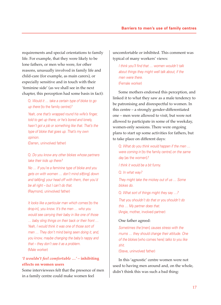requirements and special orientations to family life. For example, that they were likely to be lone fathers, or men who were, for other reasons, unusually involved in family life and child-care (for example, as main carers), or especially sensitive and in touch with their 'feminine side' (as we shall see in the next chapter, this perception had some basis in fact):

Q: Would it … take a certain type of bloke to go up there [to the family centre]?

Yeah, one that's wrapped round his wife's finger, told to get up there, or he's bored and lonely, hasn't got a job or something like that. That's the type of bloke that goes up. That's my own opinion.

(Darren, uninvolved father)

Q: Do you know any other blokes whose partners take their kids up there?

No … If you're a feminine type of bloke and you gets on with women ... don't mind sit[ting] down and talk[ing] your head off with them, then you'd be all right – but I can't do that. (Raymond, uninvolved father)

It looks like a particular man which comes [to the drop-in], you know. It's the men … who you would see carrying their baby in like one of those … baby sling things on their back or their front … Yeah, I would think it was one of those sort of men … They don't mind being seen doing it, and, you know, maybe changing the baby's nappy and that – they don't see it as a problem. (Male worker)

## *'I wouldn't feel comfortable …' –* **inhibiting effects on women users**

Some interviewees felt that the presence of men in a family centre could make women feel

uncomfortable or inhibited. This comment was typical of many workers' views:

I think you'll find that … women wouldn't talk about things they might well talk about, if the men were there. (Female worker)

Some mothers endorsed this perception, and linked it to what they saw as a male tendency to be patronising and disrespectful to women. In this centre – a strongly gender-differentiated one – men were allowed to visit, but were not allowed to participate in some of the weekday, women-only sessions. There were ongoing plans to start up some activities for fathers, but to take place on different days:

Q: What do you think would happen if the men … were coming in [to the family centre] on the same day [as the women]?

I think it would be a bit funny.

Q: In what way?

They might take the mickey out of us … Some blokes do.

Q: What sort of things might they say …?

That you shouldn't do that or you shouldn't do this … My partner does that. (Angie, mother, involved partner)

#### One father agreed:

Sometimes the [men] causes stress with the mums … they should change their attitude. One of the blokes [who comes here] talks to you like shit. (Steve, uninvolved father)

In this 'agnostic' centre women were not used to having men around and, on the whole, didn't think this was such a bad thing: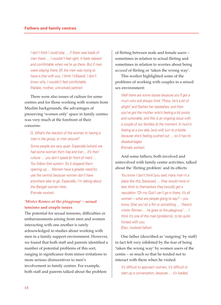I don't think I could stay … if there was loads of men there ... I wouldn't feel right. It feels relaxed and comfortable when we're up there. But if men were staying there, [if] the men was trying to have a chat with you, I think I'd lleavel. I don't know why. I wouldn't feel comfortable. (Natalie, mother, uninvolved partner)

There were also issues of culture for some centres and for those working with women from Muslim backgrounds, the advantages of preserving 'women only' space in family centres was very much at the forefront of their concerns:

#### Q: What's the reaction of the women to having a man in the group, or men around?

Some people are very quiet. Especially [when] we had some women from Iraq and Iran ... It's their culture … you don't speak [in front of men] … You follow that system. So it stopped them opening up … Women have a greater need [to use the centre] because women don't have anywhere else to go. Especially, I'm talking about the Bengali women here. (Female worker)

#### *'Mister Romeo at the playgroup'* **– sexual tensions and couple issues**

The potential for sexual tensions, difficulties or embarrassments arising from men and women interacting with one another is rarely acknowledged in studies about working with men in a family support environment. However, we found that both staff and parents identified a number of potential problems of this sort, ranging in significance from minor irritations to more serious disincentives to men's involvement in family centres. For example, both staff and parents talked about the problem

of flirting between male and female users – sometimes in relation to actual flirting and sometimes in relation to worries about being *accused* of flirting or 'taken the wrong way'.

This worker highlighted some of the problems of working with couples in a mixed sex environment:

Well there are some issues because you'll get a mum who will always think 'Phew, he's a bit of alright' and flashes her eyelashes, and then you've got the mother who's feeling a bit poorly and vulnerable, and this is an ongoing issue with a couple of our families at the moment. A mum's feeling at a low ebb, [and will] turn to a bottle because she's feeling pushed out … so it has its disadvantages. (Female worker)

And some fathers, both involved and uninvolved with family centre activities, talked about the 'flirting problem' and its effects:

You know I don't think [you see] many men in a place like this, [because] … they would more or less think to themselves they [would] get a reputation 'Oh my God I can't go in there, it's all women – what are people going to say?' – you know, [that you're] a flirt or something … 'there's mister Romeo … he goes to the playgroup' … I think it's one of the main [problems], to be quite honest with you. (Dan, involved father)

One father (described as 'outgoing' by staff) in fact felt very inhibited by the fear of being 'taken the wrong way' by women users of the centre – so much so that he tended not to interact with them when he visited:

It's difficult to approach women, it's difficult to start up a conversation, because ... it's loaded,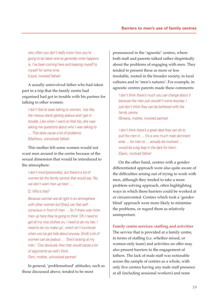very often you don't really know how you're going to be taken and so generally what happens is, I've been coming here and keeping myself to myself for some time. (Lloyd, involved father)

A usually uninvolved father who had taken part in a trip that the family centre had organised had got in trouble with his partner for talking to other women:

I don't feel at ease talking to women, 'cos like, the missus starts getting jealous and I get in trouble. Like when I went on that trip, she was asking me questions about who I was talking to … That does cause a lot of problems. (Matthew, uninvolved father)

This mother felt some women would not want men around in the centre because of the sexual dimension that would be introduced to the atmosphere:

I don't mind [personally], but there's a lot of women [at the family centre] that would say 'No, we don't want men up here' …

#### Q: Why's that?

Because women are all right in an atmosphere with other women but [they] can feel selfconscious in front of men … So if there was more men up here they're going to think 'Oh I need to get all my nice clothes on, I need to do my hair, I need to do my make up', which isn't functional when you've got kids about anyway. [And] a lot of women can be jealous … 'She's looking at my man.' 'Cos obviously then that would cause a lot of arguments as well I think. (Terri, mother, uninvolved partner)

In general, 'problematised' attitudes, such as those discussed above, tended to be most

pronounced in the 'agnostic' centres, where both staff and parents talked rather dispiritedly about the problems of engaging with men. They tended to present these as more or less insoluble, rooted in the broader society, in local cultures and in 'men's natures'. For example, in agnostic centres parents made these comments:

I don't think there's much you can change about it because the men just wouldn't come anyway. I just don't think they can be bothered with the family centre. (Sheena, mother, involved partner)

I don't think there's a great deal they can do to pull the men in ... It's a very much male dominant area … for men to … actually be involved … would be a big leap in the dark for them. (Gavin, involved father)

On the other hand, centres with a genderdifferentiated approach were also quite aware of the difficulties arising out of trying to work with men, although they tended to take a more problem-solving approach, often highlighting ways in which these barriers could be worked at or circumvented. Centres which took a 'genderblind' approach were more likely to minimise the problems, or regard them as relatively unimportant.

#### **Family centre services: staffing and activities**

The service that is provided at a family centre, in terms of staffing (i.e. whether mixed, or women-only team) and activities on offer may also present barriers to the engagement of fathers. The lack of male staff was noticeable across the sample of centres as a whole, with only five centres having any male staff presence at all (including sessional workers) and none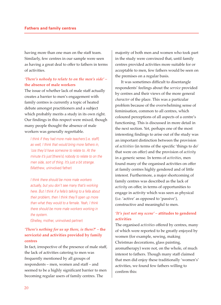having more than one man on the staff team. Similarly, few centres in our sample were seen as having a great deal to offer to fathers in terms of activities.

### *'There's nobody to relate to on the men's side' –* **the absence of male workers**

The issue of whether lack of male staff actually creates a barrier to men's engagement with family centres is currently a topic of heated debate amongst practitioners and a subject which probably merits a study in its own right. Our findings in this respect were mixed, though many people thought the absence of male workers was generally regrettable.

I think if they had more male teachers [i.e. staff] as well, I think that would bring more fathers in, 'cos they'd have someone to relate to. At the minute it's just [there's] nobody to relate to on the men side, sort of thing. It's just a bit strange. (Matthew, uninvolved father)

I think there should be more male workers actually, but you don't see many that's working here. But I think if a fella's talking to a fella about their problem, then I think they'll open up more than what they would to a female. Yeah, I think there should be more male workers working in the system.

(Shelley, mother, uninvolved partner)

### *'There's nothing for us up there, is there?***'** *–* **the service(s) and activities provided by family centres**

In fact, irrespective of the presence of male staff, the lack of activities catering to men was frequently mentioned by all groups of respondents – men, women and staff – and seemed to be a highly significant barrier to men becoming regular users of family centres. The

majority of both men and women who took part in the study were convinced that, until family centres provided activities more suitable for or acceptable to men, few fathers would be seen on the premises on a regular basis.

It was sometimes difficult to disentangle respondents' feelings about the *service* provided by centres and their views of the more general *character* of the place. This was a particular problem because of the overwhelming sense of feminisation, common to all centres, which coloured perceptions of all aspects of a centre's functioning. This is discussed in more detail in the next section. Yet, perhaps one of the most interesting findings to arise out of the study was an important distinction between the provision of *activities* (in terms of the specific 'things to do' that were on offer) and the provision of *activity* in a generic sense. In terms of *activities*, men found many of the organised activities on offer at family centres highly gendered and of little interest. Furthermore, a major shortcoming of family centres was described as the lack of *activity* on offer, in terms of opportunities to engage in activity which was seen as physical (i.e. 'active' as opposed to 'passive'), constructive and meaningful to men.

#### *'It's just not my scene' –* **attitudes to gendered activities**

The organised *activities* offered by centres, many of which were reported to be greatly enjoyed by women (for example, sewing, making Christmas decorations, glass painting, aromatherapy) were not, on the whole, of much interest to fathers. Though many staff claimed that men did enjoy these traditionally 'women's' activities, we found few fathers willing to confirm this: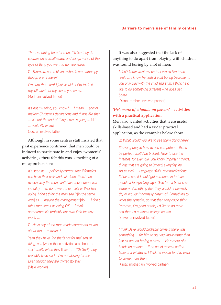There's nothing here for men. It's like they do courses on aromatherapy, and things – it's not the type of thing you want to do, you know.

Q: There are some blokes who do aromatherapy though aren't there?

I'm sure there are! I just wouldn't like to do it myself. Just not my scene you know. (Rod, uninvolved father)

It's not my thing, you know? … I mean … sort of making Christmas decorations and things like that … it's not the sort of thing a man's going to [do] … well, it's weird! (Joe, uninvolved father)

Although in some centres staff insisted that past experience confirmed that men could be induced to participate in and enjoy 'women's' activities, others felt this was something of a misapprehension:

It's seen as … politically correct: that if females can have their nails and hair done, there's no reason why the men can't have theirs done. But in reality, men don't want their nails or their hair doing. I don't think the men see it [in the same way] as … maybe the management [do] … I don't think men see it as being OK … I think sometimes it's probably our own little fantasy world …

Q: Have any of the men made comments to you about the … activities?

Yeah they have, 'oh that's not for me' sort of thing, and [when those activities are about to start] that's when they [leave] ... 'Oh God', they probably have said, ' I'm not staying for this.' Even though they are invited [to stay]. (Male worker)

It was also suggested that the lack of anything to do apart from playing with children was found boring by a lot of men:

I don't know what my partner would like to do really … I know he finds it a bit boring because … you only play with the child and stuff. I think he'd like to do something different – he does get bored. (Diane, mother, involved partner)

### *'He's more of a hands-on person' –* **activities with a practical application**

Men also wanted activities that were useful, skills-based and had a wider practical application, as the examples below show.

Q: What would you like to see them doing here? Showing people how to use computers – that'd be perfect, that'd be brilliant. How to use the Internet, for example, you know important things, things that are going to [affect] everyday life … Art as well ... Language skills, communications. I'd even see if I could get someone in to teach people a foreign language. Give 'em a bit of selfesteem. Something that they wouldn't normally do, or wouldn't normally dream of. Something to whet the appetite, so that then they could think 'mmmm, I'm good at this, I'd like to do more' – and then I'd pursue a college course. (Steve, uninvolved father)

I think Dave would probably come if there was something … for him to do, you know rather than just sit around having a brew ... He's more of a hands-on person … If he could make a coffee table or a whatever, I think he would tend to want to come more then. (Kirsty, mother, uninvolved partner)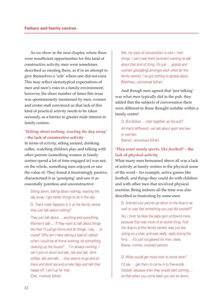As we show in the next chapter, where there were insufficient opportunities for this kind of constructive activity, men were sometimes described as creating them, as if in an attempt to give themselves a 'role' where one did not exist. This may reflect stereotypical expectations of men and men's roles in a family environment; however, the sheer number of times this issue was spontaneously mentioned by men, women and centre staff convinced us that lack of this kind of practical activity needs to be taken seriously, as a barrier to greater male interest in family centres.

#### *'Talking about nothing, wasting the day away' –* **the lack of constructive activity**

In terms of *activity*, sitting around, drinking coffee, watching children play and talking with other parents (something women in family centres spend a lot of time engaged in) was not, on the whole, something men enjoyed or saw the value of. They found it frustratingly passive, characterised it as 'gossiping' and saw it as essentially pointless and unconstructive:

Sitting down, talking about nothing, wasting the day away: I got better things to do in the day.

Q: That's what happens is it, at the family centre, they just talk about nothing?

They just talk about … anything and everything. Women's talk ... If they want to talk about things like that I'll just go home and do things. I say … to myself 'Why am I here talking a load of rubbish when I could be at home working, do something, cleaning up the house?'… I'm always working, I can't just sit down and talk, talk and talk, drink coffee, talk and talk … they seems to go and sit there and drink tea and smoke fags and talk their heads off. I ain't up for that. (Dan, involved father)

Me, my topic of conversation is cars – men things. I can't see them [women] wanting to talk about that kind of thing. It's just … gossip and women gossipling amongst each other lat the family centrel. I've got nothing to gossip about. (Matthew, uninvolved father)

And though men agreed that 'just talking' was what men typically did in the pub, they added that the subjects of conversation there were different to those thought suitable within a family centre!

Q: But blokes … chat together up the pub? Ah that's [different], we talk about sport and sex, or women. (Darren, uninvolved father)

#### *'They want manly sports, like football' –* **the lack of physical activity**

What many men bemoaned above all was a lack of activity at family centres in the physical sense of the word – for example, active games like football, and things they could do with children and with other men that involved physical exertion. Being indoors all the time was also described as frustrating by some men.

Q: And did your partner go down to the drop-in as well or was that something you just did yourself?

No, I think he likes the baby gym at [town] more, because that was more of an active thing. And the drop-in at [the family centre] was just like sitting on a chair, and was really, really boring [for him] ... It's just not geared for men, really. (Diane, mother, involved partner)

Q: What would get more men to come here? I'd say … get them to come in to five-a-side football, because then they would start coming … so that when you come back you can sit down,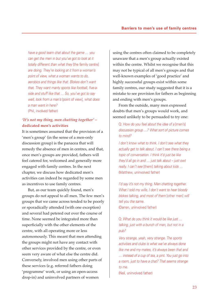have a good team chat about the game ... you can get the men in but you've got to look at it totally different than what they [the family centre] are doing. They're looking at it from a woman's point of view, what a woman wants to do, aerobics and things like that. Blokes don't want that. They want manly sports like football, five-aside and stuff like that … So, you've got to say well, look from a man's [point of view], what does a man want in here? (Phil, involved father)

### *'It's not my thing, men chatting together' –* **dedicated men's activities**

It is sometimes assumed that the provision of a 'men's group' (in the sense of a men-only discussion group) is the panacea that will remedy the absence of men in centres, and that, once men's groups are provided, fathers will feel catered for, welcomed and generally more engaged with family centres. In the next chapter, we discuss how dedicated men's activities can indeed be regarded by some men as incentives to use family centres.

But, as our team quickly found, men's groups do not appeal to all men. The few men's groups that we came across tended to be poorly or sporadically attended (with one exception) and several had petered out over the course of time. None seemed be integrated more than superficially with the other elements of the centre, with all operating more or less autonomously. This meant that men attending the groups might not have any contact with other services provided by the centre, or even seem very aware of what else the centre did. Conversely, involved men using other parts of these services (e.g. referred fathers doing 'programme' work, or using an open-access drop-in) and uninvolved partners of women

using the centres often claimed to be completely unaware that a men's group actually existed within the centre. Whilst we recognise that this may not be typical of all men's groups and that well-known examples of 'good practice' and highly successful groups exist within some family centres, our study suggested that it is a mistake to see provision for fathers as beginning and ending with men's groups.

From the outside, many men expressed doubts that men's groups would work, and seemed unlikely to be persuaded to try one:

Q: How do you feel about the idea of a [men's] discussion group …? What sort of picture comes to mind?

I don't know what to think. I don't see what they actually get to talk about. I can't see there being a topic of conversation. I think it'd just be like they'd all go in and  $\ldots$  just talk about – just owt really. I can't see [them] talking about kids … (Matthew, uninvolved father)

I'd say it's not my thing. Men chatting together. What I told my wife, I don't want to hear bloody blokes talking, and most of them [other men] will tell you the same. (Darren, uninvolved father)

Q: What do you think it would be like just … talking, just with a bunch of men, but not in a pub?

Very strange, yeah, very strange. The sports activities and clubs is what we've always done like me and my mates, it's always been that and … instead of a cup of tea, a pint. You just go into a room, just to have a chat? That seems strange to me.

(Neil, uninvolved father)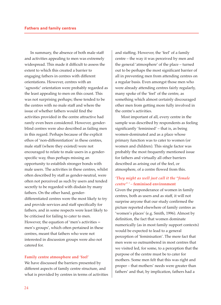In summary, the absence of both male staff and activities appealing to men was extremely widespread. This made it difficult to assess the extent to which this created a barrier to engaging fathers in centres with different orientations. However, centres with an 'agnostic' orientation were probably regarded as the least appealing to men on this count. This was not surprising perhaps; these tended to be the centres with no male staff and where the issue of whether fathers would find the activities provided in the centre attractive had rarely even been considered. However, genderblind centres were also described as failing men in this regard. Perhaps because of the explicit ethos of 'non-differentiation' in these centres, male staff (where they existed) were not encouraged to relate to male users in a genderspecific way, thus perhaps missing an opportunity to establish stronger bonds with male users. The activities in these centres, whilst often described by staff as gender-neutral, were often not perceived as such by users and tended secretly to be regarded with disdain by many fathers. On the other hand, genderdifferentiated centres were the most likely to try and provide services and staff specifically for fathers, and in some respects were least likely to be criticised for failing to cater to men. However, the equation of 'men's activities = men's groups', which often pertained in these centres, meant that fathers who were not interested in discussion groups were also not catered for.

#### **Family centre atmosphere and 'feel'**

We have discussed the barriers presented by different aspects of family centre structure, and what is provided by centres in terms of activities

and staffing. However, the 'feel' of a family centre – the way it was perceived by men and the general 'atmosphere' of the place – turned out to be perhaps the most significant barrier of all in preventing men from attending centres on a regular basis. Even amongst those men who were already attending centres fairly regularly, many spoke of the 'feel' of the centre, as something which almost certainly discouraged other men from getting more fully involved in the centre's activities.

Most important of all, every centre in the sample was described by respondents as feeling significantly 'feminised' – that is, as being women-dominated and as a place whose primary function was to cater to women (or women and children). This single factor was probably the most frequently mentioned issue for fathers and virtually all other barriers described as arising out of the feel, or atmosphere, of a centre flowed from this.

### *'They might as well just call it the "female centre'' ' –* **feminised environment**

Given the preponderance of women in family centres, both as users and as staff, it will not surprise anyone that our study confirmed the picture reported elsewhere of family centres as 'women's places' (e.g. Smith, 1996). Almost by definition, the fact that women dominate numerically (as in most family support contexts) would be expected to lead to a general perception of 'feminisation'. The mere fact that men were so outnumbered in most centres that we visited led, for some, to a perception that the purpose of the centre must be to cater for mothers. Some men felt that this was right and proper – that mothers' needs were greater than fathers' and that, by implication, fathers had a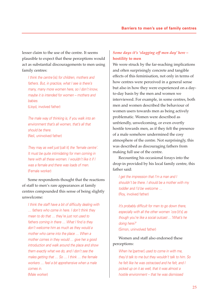lesser claim to the use of the centre. It seems plausible to expect that these perceptions would act as substantial discouragements to men using family centres:

I think the centre [is] for children, mothers and fathers. But, in practice, what I see is there's many, many more women here, so I don't know, maybe it is intended for women – mothers and babies.

(Lloyd, involved father)

The male way of thinking is, if you walk into an environment that's all women, that's all that should be there. (Neil, uninvolved father)

They may as well just [call it] the 'female centre'. It must be quite intimidating for men coming in here with all these women. I wouldn't like it if I was a female and there was loads of men. (Female worker)

Some respondents thought that the reactions of staff to men's rare appearances at family centres compounded this sense of being slightly unwelcome:

I think the staff have a bit of difficulty dealing with … fathers who come in here. I don't think they mean to do that … they're just not used to fathers coming in there ... What I find is they don't welcome him as much as they would a mother who came into the place … When a mother comes in they would … give her a good introduction and walk around the place and show them exactly what we do, and I don't see the males getting that … So … I think … the female workers … feel a bit apprehensive when a male comes in. (Male worker)

#### *Some days it's 'slagging off men day' here* **– hostility to men**

We were struck by the far-reaching implications and often surprisingly concrete and tangible effects of this feminisation, not only in terms of how centres were perceived in a general sense but also in how they were experienced on a dayto-day basis by the men and women we interviewed. For example, in some centres, both men and women described the behaviour of women users towards men as being actively problematic. Women were described as unfriendly, unwelcoming, or even overtly hostile towards men, as if they felt the presence of a male somehow undermined the cosy atmosphere of the centre. Not surprisingly, this was described as discouraging fathers from making full use of the centre.

Recounting his occasional forays into the drop-in provided by his local family centre, this father said:

I get the impression that I'm a man and I shouldn't be there. I should be a mother with my toddler and I'd be welcome … (Roy, involved father)

It's probably difficult for men to go down there, especially with all the other women 'cos [it's] as though you're like a social outcast …'What's he doing here?' (Simon, uninvolved father)

Women and staff also endorsed these perceptions:

When he [partner] used to come in with me, they'd talk to me but they wouldn't talk to him. So he felt like he was ostracised and he felt, and I picked up on it as well, that it was almost a hostile environment – that he was dismissed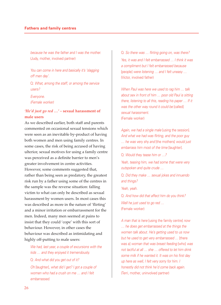#### **Fathers and family centres**

because he was the father and I was the mother. (Judy, mother, involved partner)

You can come in here and basically it's 'slagging' off men day'.

Q: What, among the staff, or among the service users?

Everyone. (Female worker)

#### *'He'd just go red …' –* **sexual harassment of male users**

As we described earlier, both staff and parents commented on occasional sexual tensions which were seen as an inevitable by-product of having both women and men using family centres. In some cases, the risk of being accused of having ulterior, sexual motives for using a family centre was perceived as a definite barrier to men's greater involvement in centre activities*.* However, some comments suggested that, rather than being seen as predatory, the greatest risk run by a father using some of the centres in the sample was the reverse situation: falling victim to what can only be described as sexual harassment by women users. In most cases this was described as more in the nature of 'flirting' and a minor irritation or embarrassment for the men. Indeed, many men seemed at pains to insist that they could 'cope' with this sort of behaviour. However, in other cases the behaviour was described as intimidating and highly off-putting to male users:

We had, last year, a couple of excursions with the kids … and they enjoyed it tremendously.

Q: And what did you get out of it? Oh [laughter], what did I get? I got a couple of women who had a crush on me … and I felt embarrassed.

Q: So there was … flirting going on, was there? Yes, it was and I felt embarrassed … I think it was a compliment but I felt embarrassed because [people] were listening … and I felt uneasy … (Victor, involved father)

When Paul was here we used to rag him ... talk about sex in front of him … poor old Paul is sitting there, listening to all this, reading his paper … If it was the other way round it could be [called] sexual harassment. (Female worker)

Again, we had a single male [using the session]. And what we had was flirting, and the poor guy … he was very shy and [the mothers] would just embarrass him most of the time [laughter].

Q: Would they tease him or …?

Yeah, teasing him, we had some that were very outspoken and quite crude …

Q: Did they make … sexual jokes and innuendo and things?

Yeah, yeah.

Q: And how did that affect him do you think? Well he just used to go red ... (Female worker)

A man that is here [using the family centre] now … he does get embarrassed at the things the women talk about. He's getting used to us now but he used to get very embarrassed … [there was a] woman that was breast feeding [who] was not tactful at all … she … offered to let him drink some milk if he wanted it. It was on his first day up here as well, I felt very sorry for him. I honestly did not think he'd come back again. (Terri, mother, uninvolved partner)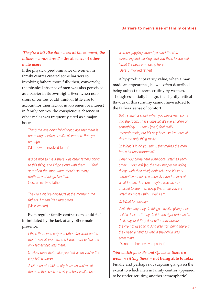## *'They're a bit like dinosaurs at the moment, the fathers – a rare breed' –* **the absence of other male users**

If the physical predominance of women in family centres created some barriers to involving fathers more fully then, conversely, the physical absence of men was also perceived as a barrier in its own right. Even when nonusers of centres could think of little else to account for their lack of involvement or interest in family centres, the conspicuous absence of other males was frequently cited as a major issue.

That's the one downfall of that place that there is not enough blokes, it's like all women. Puts you on edge. (Matthew, uninvolved father)

It'd be nice to me if there was other fathers going to this thing, and I'd go along with them … I feel sort of on the spot, when there's so many mothers and things like that. (Joe, uninvolved father)

They're a bit like dinosaurs at the moment, the fathers. I mean it's a rare breed. (Male worker)

Even regular family centre users could feel intimidated by the lack of any other male presence:

I think there was only one other dad went on the trip. It was all women, and I was more or less the only father that was there.

Q: How does that make you feel when you're the only father there?

A bit uncomfortable really because you're sat there on the coach and all you hear is all these women gaggling around you and the kids screaming and bawling, and you think to yourself 'what the heck am I doing here'? (Derek, involved father)

A by-product of rarity value, when a man made an appearance, he was often described as being subject to overt scrutiny by women. Though essentially benign, the slightly critical flavour of this scrutiny cannot have added to the fathers' sense of comfort.

But it's such a shock when you see a man come into the room. That's unusual, it's like an alien or something! ... I think [men] feel really uncomfortable, but it's only because it's unusual – that's the only thing really.

Q: What is it, do you think, that makes the men feel a bit uncomfortable?

When you come here everybody watches each other … you look [at] the way people are doing things with their child, definitely, and it's very competitive. I think, personally I tend to look at what fathers do more, maybe. Because it's unusual to see men doing that … so you are watching more I think. Well I am.

Q: What for exactly?

Well, the way they do things, say like giving their child a drink … if they do it in the right order as I'd do it, say, or if they do it differently because they're not used to it. And also [for] being there if they need a hand as well, if their child was screaming.

(Diane, mother, involved partner)

*'You watch your Ps and Qs when there's a woman sitting there' –* **not being able to relax** Finally and perhaps not surprisingly, given the extent to which men in family centres appeared to be under scrutiny, another 'atmospheric'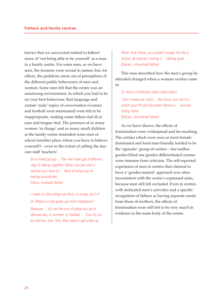barrier that we uncovered related to fathers' sense of 'not being able to be yourself' as a man in a family centre. For some men, as we have seen, the tensions were sexual in nature; but, for others, the problems arose out of perceptions of the different public behaviours of men and women. Some men felt that the centre was an unrelaxing environment, in which you had to be on your best behaviour. Bad language and certain 'male' topics of conversation (women and football were mentioned) were felt to be inappropriate, making some fathers feel ill at ease and tongue-tied. The presence of so many women 'in charge' and so many small children at the family centre reminded some men of school (another place where you have to behave yourself!) – even to the extent of calling the daycare staff 'teachers'.

(In a mixed group) …The men have got a different way of talking together. When you are with a woman you have to … think of what you're saying sometimes. (Victor, involved father)

I mean it's like school up there, in a way, isn't it? Q: What is it that gives you that impression? Because … it's not the sort of place you go to discuss sex, or women, or football … 'Cos it's run by women, one. Two, they haven't got a bar up

there. And, three, you couldn't swear. It's like a school, all women running it ... talking quiet. (Darren, uninvolved father)

This man described how the men's group he attended changed when a woman worker came in:

Q: How's it different when she's here?

I don't swear as much ... You know, you sort of watch your Ps and Qs when there's a ... woman sitting there. (Darren, uninvolved father)

As we have shown, the effects of feminisation were widespread and far-reaching. The centres which were seen as most femaledominated and least man-friendly tended to be the 'agnostic' group of centres – but neither gender-blind nor gender-differentiated centres were immune from criticism. The self-reported experience of men in centres that claimed to have a 'gender-neutral' approach was often inconsistent with the centre's expressed aims, because men still felt excluded. Even in centres with dedicated men's activities and a specific recognition of fathers as having separate needs from those of mothers, the effects of feminisation were still felt to be very much in evidence in the main body of the centre.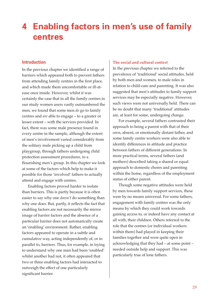## **4 Enabling factors in men's use of family centres**

#### **Introduction**

In the previous chapter we identified a range of barriers which appeared both to prevent fathers from attending family centres in the first place, and which made them uncomfortable or ill-atease once inside. However, whilst it was certainly the case that in all the family centres in our study women users vastly outnumbered the men, we found that some men *do* go to family centres and *are* able to engage – to a greater or lesser extent – with the services provided. In fact, there was some male presence found in every centre in the sample, although the extent of men's involvement varied considerably from the solitary male picking up a child from playgroup, through fathers undergoing child protection assessment procedures, to a flourishing men's group. In this chapter we look at some of the factors which help to make it possible for those 'involved' fathers to actually attend and engage with centres.

Enabling factors proved harder to isolate than barriers. This is partly because it is often easier to say why one *doesn't* do something than why one does. But, partly, it reflects the fact that enabling factors are not necessarily the mirror image of barrier factors and the absence of a particular barrier does not automatically create an 'enabling' environment. Rather, enabling factors appeared to operate in a subtle and cumulative way, acting independently of, or in parallel to, barriers. Thus, for example, in trying to understand why one man had been 'enabled' whilst another had not, it often appeared that two or three enabling factors had interacted to outweigh the effect of one particularly significant barrier.

#### **The social and cultural context**

In the previous chapter we referred to the prevalence of 'traditional' social attitudes, held by both men and women, to male roles in relation to child-care and parenting. It was also suggested that men's attitudes to family support services may be especially negative. However, such views were not universally held. There can be no doubt that many 'traditional' attitudes are, at least for some, undergoing change.

For example, several fathers contrasted their approach to being a parent with that of their own, absent, or emotionally distant father, and some family centre workers were also able to identify differences in attitude and practice between fathers of different generations. In more practical terms, several fathers (and mothers) described taking a shared or equal approach to domestic chores and parenting within the home, regardless of the employment status of either parent.

Though some negative attitudes were held by men towards family support services, these were by no means universal. For some fathers, engagement with family centres was the only means by which they could work towards gaining access to, or indeed have any contact at all with, their children. Others referred to the role that the centres (or individual workers within them) had played in keeping their families together and were quite open in acknowledging that they had – at some point – needed outside help and support. This was particularly true of lone fathers.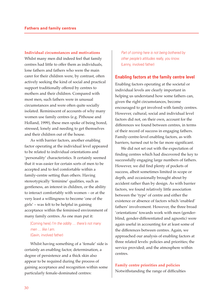#### **Individual circumstances and motivations**

Whilst many men did indeed feel that family centres had little to offer them as individuals, lone fathers and fathers who were the main carer for their children were, by contrast, often actively seeking the kind of social and practical support traditionally offered by centres to mothers and their children. Compared with most men, such fathers were in unusual circumstances and were often quite socially isolated. Reminiscent of accounts of why many women use family centres (e.g. Pithouse and Holland, 1999), these men spoke of being bored, stressed, lonely and needing to get themselves and their children out of the house.

As with barrier factors, another enabling factor operating at the individual level appeared to be related to individual orientations and 'personality' characteristics. It certainly seemed that it was easier for certain sorts of men to be accepted and to feel comfortable within a family-centre setting than others. Having stereotypically 'feminine' qualities, such as gentleness, an interest in children, or the ability to interact comfortably with women – or at the very least a willingness to become 'one of the girls' – was felt to be helpful in gaining acceptance within the feminised environment of many family centres. As one man put it:

[Coming here] I'm the oddity ... there's not many men … like I am. (Gavin, involved father)

Whilst having something of a 'female' side is certainly an enabling factor, determination, a degree of persistence and a thick skin also appear to be required during the process of gaining acceptance and recognition within some particularly female-dominated centres:

Part of coming here is not being bothered by other people's attitudes really, you know. (Lenny, involved father)

#### **Enabling factors at the family centre level**

Enabling factors operating at the societal or individual levels are clearly important in helping us understand how some fathers can, given the right circumstances, become encouraged to get involved with family centres. However, cultural, social and individual level factors did not, on their own, account for the differences we found between centres, in terms of their record of success in engaging fathers. Family-centre-level enabling factors, as with barriers, turned out to be far more significant.

We did not set out with the expectation of finding centres which had discovered the key to successfully engaging large numbers of fathers. However, we did find plenty of pockets of success, albeit sometimes limited in scope or depth, and occasionally brought about by accident rather than by design. As with barrier factors, we found relatively little association between the 'type' of centre and either the existence or absence of factors which 'enabled' fathers' involvement. However, the three broad 'orientations' towards work with men (genderblind, gender-differentiated and agnostic*)* were again useful in accounting for at least some of the differences between centres. Again, we approached our analysis of enabling factors at three related levels: policies and priorities; the service provided; and the atmosphere within centres.

**Family centre priorities and policies** Notwithstanding the range of difficulties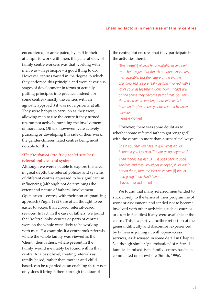encountered, or anticipated, by staff in their attempts to work with men, the general view of family centre workers was that working with men was – in principle – a good thing to do. However, centres varied in the degree to which they endorsed this principle and were at various stages of development in terms of actually putting principles into practice. Indeed, for some centres (mostly the centres with an agnostic approach) it was not a priority at all. They were happy to carry on as they were, allowing men to use the centre if they turned up, but not actively pursuing the involvement of more men. Others, however, were actively pursuing or developing this side of their work, the gender-differentiated centres being most notable for this.

### *'They're shoved into it by social services' –* **referral policies and systems**

Although we were not able to explore this area in great depth, the referral policies and systems of different centres appeared to be significant in influencing (although not determining) the extent and nature of fathers' involvement. Open-access centres, with their non-stigmatising approach (Pugh, 1992), are often thought to be easier to access than closed, referral-based services. In fact, in the case of fathers, we found that 'referral only' centres or parts of centres were on the whole *more* likely to be working with men. For example, if a centre took referrals where the whole family was viewed as the 'client', then fathers, where present in the family, would inevitably be found within that centre. At a basic level, treating referrals as family-based, rather than mother-and-childbased, can be regarded as an enabling factor; not only does it bring fathers through the door of

the centre, but ensures that they participate in the activities therein.

[The centre's] always been available to work with men, but it's just that there's not been very many men available. But the nature of the work is changing and we are really getting involved with a lot of court assessment work [now]. If dads are on the scene they become part of that. So I think the reason we're working more with dads is because they're probably shoved into it by social services.

#### (Female worker)

However, there was some doubt as to whether some referred fathers got 'engaged' with the centre in more than a superficial way:

Q: Do you feel you have to go? What would happen if you just said 'I'm not going anymore'? Then it goes against us ... It goes back to social services and they would get annoyed, if we don't attend there, then the kids go in care. [I] would stop going if we didn't have to. (Trevor, involved father)

We found that many referred men tended to stick closely to the terms of their programme of work or assessment, and tended not to become involved with other activities (such as courses or drop-in facilities) if any were available at the centre. This is a partly a further reflection of the general difficulty and discomfort experienced by fathers in joining in with open-access services, as discussed in some detail in Chapter 3, although similar 'ghettoisation' of referred families in mixed-type family centres has been commented on elsewhere (Smith, 1996).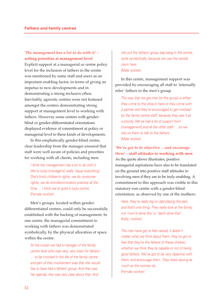## *'The management has a lot to do with it' –* **setting priorities at management level**

Explicit support at a managerial or centre policy level for the inclusion of fathers in the centre was mentioned by some staff and users as an important enabling factor, in terms of giving an impetus to new developments and in demonstrating a strong inclusive ethos. Inevitably, agnostic centres were not featured amongst the centres demonstrating strong support at management level to working with fathers. However, some centres with genderblind or gender-differentiated orientations displayed evidence of commitment at policy or managerial level to these kinds of developments.

In this emphatically gender-blind centre, clear leadership from the manager ensured that staff were well aware of policies and priorities for working with all clients, including men.

I think the management has a lot to do with it. We're lucky [manager's] really 'equal everything': She's [into] children's rights, we do consumer rights, we do anti-discriminatory practice all the time ... I think we're quite a lucky centre. (Female worker)

Men's groups, located within genderdifferentiated centres, could only be successfully established with the backing of management. In one centre, the managerial commitment to working with fathers was demonstrated symbolically, by the physical allocation of space within the centre.

At the outset we had a manager of the family centre here who was very, very keen for fathers … to be involved in the life of the family centre and part of that involvement was that she would like to have had a fathers' group. And that was her agenda, she was very clear about that. And

she put the fathers' group slap bang in the centre, quite symbolically, because we use the central room here. (Male worker)

In this centre, management support was provided by encouraging all staff to 'internally refer' fathers to the men's group.

The way that we get men [to the group] is either they come to this drop-in here or they come with a partner and they're encouraged to get involved by the family centre staff, because they see it as a priority. We've had a lot of support from [management] and all the other staff … so we rely on them to talk to the fathers. (Male worker)

*'We've got to be objective …and encourage them' –* **staff attitudes to working with men** As the quote above illustrates, positive managerial aspirations have also to be translated on the ground into positive staff attitudes to involving men if they are to be truly enabling. A commitment to this approach was visible in this statutory-run centre with a gender-blind orientation, as observed by one of the mothers:

Here, they're really big on dad playing the part, and that's one thing. They really look at the family, not 'mum's done this' or 'dad's done that'. (Kelly, mother)

The men have got to feel valued, it doesn't matter what we think about them, they've got to feel that they're the fathers of these children, whether we think they're capable or not of being good fathers. We've got to be very objective with them, and encourage them. They need valuing as much as the women do. (Female worker)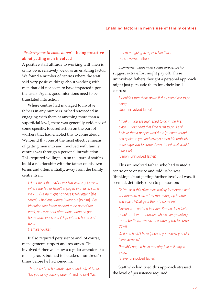## *'Pestering me to come down' –* **being proactive about getting men involved**

A positive staff attitude to working with men is, on its own, relatively weak as an enabling factor. We found a number of centres where the staff said very positive things about working with men that did not seem to have impacted upon the users. Again, good intentions need to be translated into action.

Where centres had managed to involve fathers in any numbers, or had succeeded in engaging with them at anything more than a superficial level, there was generally evidence of some specific, focused action on the part of workers that had enabled this to come about. We found that one of the most effective means of getting men into and involved with family centres was through a personal introduction. This required willingness on the part of staff to build a relationship with the father on his own terms and often, initially, away from the family centre itself.

I don't think that we've worked with any families where the father hasn't engaged with us in some way … But he might not necessarily attend [the centre]. I had one where I went out [to him]. We identified that father needed to be part of the work, so I went out after work, when he got home from work, and I'd go into the home and do it.

(Female worker)

It also required persistence and, of course, management support and resources. This involved father was now a regular attender at a men's group, but had to be asked 'hundreds' of times before he had joined in:

They asked me hundreds upon hundreds of times 'Do you fancy coming down?' [and I'd say] 'No,

#### no I'm not going to a place like that'. (Roy, involved father)

However, there was some evidence to suggest extra effort might pay off. These uninvolved fathers thought a personal approach might just persuade them into their local centres:

I wouldn't turn them down if they asked me to go along. (Joe, uninvolved father)

I think … you are frightened to go in the first place … you need that little push to go. I still believe that if people who'd run [it] came round and spoke to you and saw you then it'd probably encourage you to come down. I think that would help a lot. (Simon, uninvolved father)

This uninvolved father, who had visited a centre once or twice and told us he was 'thinking' about getting further involved was, it seemed, definitely open to persuasion:

Q: You said this place was mainly for women and yet there are quite a few men who pop in now and again. What gets them to come in?

Nosiness … and the fact that Brenda does invite people … [I went] because she is always asking me to be there; always … pestering me to come down.

Q: If she hadn't have 'phoned you would you still have come in?

Probably not, I'd have probably just still stayed away. (Steve, uninvolved father)

Staff who had tried this approach stressed the level of persistence required: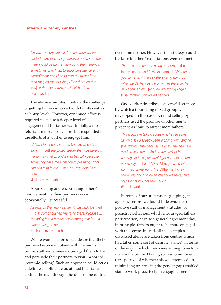Oh yes, it's very difficult, I mean when we first started there was a large turnover and sometimes there would be no men turn up to the meetings, sometimes one. I had to show persistence and commitment and I had to gain the trust of the men that, no matter what, I'll be there on that [day]. If they don't turn up I'll still be there. (Male worker)

The above examples illustrate the challenge of getting fathers involved with family centres at 'entry-level'. However, continued effort is required to ensure a deeper level of engagement. This father was initially a most reluctant referral to a centre, but responded to the efforts of a worker to engage him:

At first I felt 'I don't want to be here … end of story' … [but] the project leader that was here put her faith in [me] ... and it was basically because somebody gave me a chance to put things right and had faith in me … and, as I say, now I live here! (Jack, involved father)

Approaching and encouraging fathers' involvement via their partners was – occasionally – successful.

As regards the family centre, it was Judy [partner] … that sort of pushed me to go there, because … me going into a female environment, that is … a strange thing to do. (Graham, involved father)

Where women expressed a desire that their partners become involved with the family centre, staff sometimes encouraged them to try and persuade their partners to visit – a sort of 'pyramid selling'. Such an approach could act as a definite enabling factor, at least in as far as getting the man through the door of the centre,

even if no further. However this strategy could backfire if fathers' expectations were not met:

There used to be men going up there [to the family centre], and I said to [partner], 'Why don't you come up if there's others going up?', [but] when he did he was the only man there. So he said I conned him, [and] he wouldn't go again. (Lisa, mother, uninvolved partner)

One worker describes a successful strategy by which a flourishing mixed group was developed. In this case, pyramid selling by partners used the promise of other men's presence as 'bait' to attract more fathers.

This group I'm talking about – I'd had this one family that I'd already been working with, and he [the father] came because he knew me and he'd worked with me … And on the back of him coming, various girls who'd got partners at home would say [to them] 'Well, Mike goes, so why don't you come along?' And [the men] knew there was going to be another bloke there, and that's what brought them along. (Female worker)

In terms of our orientation groupings, in agnostic centres we found little evidence of positive staff or management attitudes, or proactive behaviour which encouraged fathers' participation, despite a general agreement that, in principle, fathers ought to be more engaged with the centre. Indeed, all the examples discussed above are taken from centres which had taken some sort of definite 'stance', in terms of the way in which they were aiming to include men in the centre. Having such a commitment (irrespective of whether this was premised on minimising or stressing the gender gap) enabled staff to work proactively in engaging men,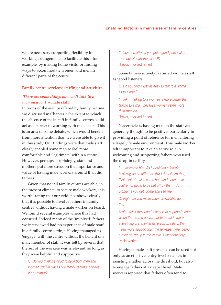where necessary supporting flexibility in working arrangements to facilitate this – for example, by making home visits, or finding ways to accommodate women and men in different parts of the centre.

#### **Family centre services: staffing and activities**

#### *'There are some things you can't talk to a woman about'* **– male staff**

In terms of the service offered by family centres, we discussed in Chapter 3 the extent to which the absence of male staff in family centres could act as a barrier to working with male users. This is an area of some debate, which would benefit from more attention than we were able to give it in this study. Our findings were that male staff clearly enabled some men to feel more comfortable and 'legitimate' within a centre. However, perhaps surprisingly, staff and mothers put more stress on the importance and value of having male workers around than did fathers.

Given that not all family centres are able, in the present climate, to secure male workers, it is worth stating that our evidence shows clearly that it is possible to involve fathers in family centres without having a male worker on board. We found several examples where this had occurred. Indeed many of the 'involved' fathers we interviewed had no experience of male staff in a family centre setting. Having managed to 'engage' with the centre without the benefit of a male member of staff, it was felt by several that the sex of the workers was irrelevant, so long as they were helpful and supportive.

Q: Do you think it's good to have both men and women staff in places like family centres, or does it not matter?

It doesn't matter. If you get a good personality member of staff then it's OK (Trevor, involved father)

Some fathers actively favoured women staff as 'good listeners':

#### Q: Do you find it just as easy to talk to a woman as to a man?

I think … talking to a woman is more better than talking to a man, because women listen more than men do. (Trevor, involved father)

Nevertheless, having men on the staff was generally thought to be positive, particularly in providing a point of reference for men entering a largely female environment. This male worker felt it important to take an active role in welcoming and supporting fathers who used the drop-in facility.

I … welcome him. As I would do a female, basically, so no different. But I do tell him that, 'Not a lot of males come here and I hope that you're not going to be put off by that … Any problems you get, come and see me.'

Q: Right, so you make yourself available for them?

Yeah. I think they need that sort of support in here when they come down, just to be told where everything is and what have you … I think they need more support than the females there, being a minority group in the centre. Most definitely. (Male worker)

Having a male staff presence can be used not only as an effective 'entry-level' enabler, in assisting a father across the threshold, but also to engage fathers at a deeper level. Male workers reported that fathers often tend to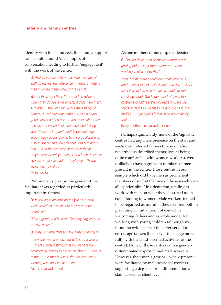identify with them and seek them out; a rapport can be built around 'male' topics of conversation, leading to further 'engagement' with the work of the centre.

Q: And do you think having a male member of staff … makes any difference in terms of getting men involved in the work of the centre?

Yeah, I think so. I think they could be relieved when they do see a male here, it does help them. And also … they can talk about male things in general. Like I have one [father] who's a heavy goods driver and he talks to the males about that because I think he thinks he should be talking about [that] … I mean I don't know anything about heavy goods driving but you go along with it so to speak, and you can chat with him about that … And that can lead onto other things … maybe they do tell you things, you know because you are a male, as well … they'll say: 'Oh you know what it's like'. (Male worker)

Within men's groups, the gender of the facilitator was regarded as particularly important by fathers.

Q: If you were advertising the [men's group], what would you say in your advert to entice people in?

'Men's group, run by men. Don't by shy, come in to have a chat.'

Q: Why is it important to have a man running it?

I think the men are reluctant to talk [to a woman] … there's certain things that you cannot feel comfortable talking to a woman [about] … Men's things … the men's wives, the way you see a woman, relationships and things. (Victor, involved father)

#### As one mother summed up the debate:

Q: Do you think it would make a difference to getting fathers in, if there were more men working in places like this?

Yeah, I think there should be a male around. I don't think it would really change the dad … But I think it would be nice to have a couple of men knocking about. You know it sort of gives the mother-and-dad feel then doesn't it? Because that's what it's all meant to be about isn't it, the family? … It just gives it that dead warm family feel.

(Kelly, mother, uninvolved partner)

Perhaps significantly, none of the 'agnostic' centres had any male presence on the staff and, aside from referred fathers (many of whom nevertheless described themselves as being quite comfortable with women workers), were unlikely to have significant numbers of men present in the centre. Those centres in our sample which did have men as permanent members of staff at the time of the research were all 'gender-blind' in orientation, tending to work with men on what they described as an equal footing to women. Male workers tended to be regarded as useful in these centres, both in providing an initial point of contact in welcoming fathers and as a role model for working with young children (although we found no evidence that the latter served to encourage fathers themselves to engage more fully with the child-oriented activities at the centre). None of those centres with a genderdifferentiated approach had male workers. However, their men's groups – where present – were facilitated by male sessional workers, suggesting a degree of role-differentiation at staff, as well as client level.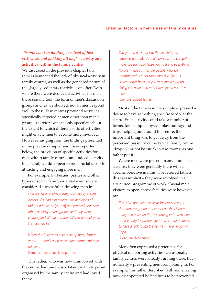## *'People want to do things instead of just sitting around yakking all day'* **– activity and activities within the family centre**

We discussed in the previous chapter how fathers bemoaned the lack of physical activity in family centres, as well as the gendered nature of the (largely sedentary) activities on offer. Even where there were dedicated activities for men, these usually took the form of men's discussion groups and, as we showed, not all men respond well to these. Few centres provided activities specifically targeted at men other than men's groups, therefore we can only speculate about the extent to which different sorts of activities might enable men to become more involved. However, judging from the findings presented in the previous chapter and those reported below, the provision of specific activities for men within family centres, and indeed 'activity' in general, would appear to be a crucial factor in attracting and engaging more men.

For example, barbecues, parties and other types of social, family-oriented events were considered successful in drawing men in:

Like we have special events, you know, one-off events. We had a barbecue. We had loads of fathers who came [to that] and people knew each other, so [they] made groups and they were chatting and all that and the children were playing. (Female worker)

When the Christmas party's on up here, fathers come … there's even uncles that come, and male relatives.

#### (Terri, mother, uninvolved partner)

This father, who was now uninvolved with the centre, had previously taken part in trips out organised by the family centre and had loved them:

You get the days out like the coach trip to [amusement park]. And it's brilliant. You can get a miniature train that takes you to it and everything. It's pretty good … for the people who are unemployed. It's not too expensive. [And] it works better because you're going in a group … Going in a coach trip rather than just a  $car - it's$ nice.

(Joe, uninvolved father)

Most of the fathers in the sample expressed a desire to have something specific to 'do' at the centre. Such activity could take a number of forms, for example physical play, outings and trips, helping out around the centre; the important thing was to get away from the perceived passivity of the typical family centre 'drop-in', or not be 'stuck in two rooms' as one father put it.

Where men were present in any numbers at a centre, they were generally there with a specific objective in mind. For referred fathers this was implicit – they were involved in a structured programme of work. Casual male visitors to open-access facilities were however rare:

If they've got a course what they're coming to then they've got no problem at all, they'll come straight in because they're coming in for a reason, but if you try to get men just to call in for a cuppa, to have a look round the centre … You've got no hope.

#### (Aidan, involved father)

Men often expressed a preference for physical or sporting activities. Occasionally family centres were already running these, but – ironically – preventing men from joining in. For example, this father described with some feeling how disappointed he had been to be prevented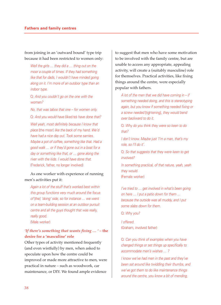from joining in an 'outward bound' type trip because it had been restricted to women only:

Well the girls ... they did a ... thing out on the moor a couple of times. If they had something like that for dads, I wouldn't have minded going along on it. I'm more of an outdoor type than an indoor type.

Q: And you couldn't go on the one with the women?

No, that was taboo that one – for women only. Q: And you would have (liked to) have done that? Well yeah, most definitely because I know that place [the moor] like the back of my hand. We'd have had a nice day out. Took some sarnies. Maybe a pot of coffee, something like that. Had a good walk … or if they'd gone out in a boat for a day or something like that, or … gone along the river with the kids. I would have done that. (Frederick, father, no longer involved)

As one worker with experience of running men's activities put it:

Again a lot of the stuff that's worked best within this group functions very much around the focus of [the] 'doing' side, so for instance … we went on a team-building session at an outdoor pursuit centre and all the guys thought that was really, really good. (Male worker)

#### *'If there's something that wants fixing … ' –* **the desire for a 'masculine' role**

Other types of activity mentioned frequently (and even wistfully) by men, when asked to speculate upon how the centre could be improved or made more attractive to men, were practical in nature – such as woodwork, car maintenance, or DIY. We found ample evidence

to suggest that men who have some motivation to be involved with the family centre, but are unable to access any appropriate, appealing activity, will create a (suitably masculine) role for themselves. Practical activities, like fixing things around the centre, were especially popular with fathers.

A lot of the men that we did have coming in  $-$  if something needed doing, and this is stereotyping again, but you know if something needed fixing or a screw needed [tightening], they would bend over backward to do it.

Q: Why do you think they were so keen to do that?

I don't know. Maybe just 'I'm a man, that's my role, so I'll do it'.

Q: So that suggests that they were keen to get involved?

In something practical, of that nature, yeah, yeah they would. (Female worker)

I've tried to ... get involved in what's been going on here … I put a patio down for them … because the outside was all muddy, and I put some slabs down for them.

Q: Why you?

I offered. (Graham, involved father)

Q: Can you think of examples when you have changed things or set things up specifically to accommodate men's wishes … ?

I know we've had men in the past and they've been sat around like twiddling their thumbs, and we've got them to do like maintenance things around the centre, you know a bit of mending,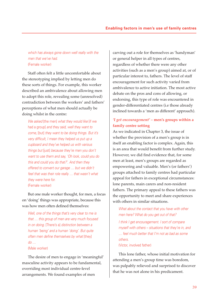which has always gone down well really with the men that we've had. (Female worker)

Staff often felt a little uncomfortable about the stereotyping implied by letting men do these sorts of things. For example, this worker described an ambivalence about allowing men to adopt this role, revealing some (unresolved) contradiction between the workers' and fathers' perceptions of what men should actually be doing whilst in the centre:

We asked [the men] what they would like [if we had a group] and they said, well they want to come, [but] they want to be doing things. But it's very difficult, I mean they helped us put up a cupboard and they've helped us with various things but [just] because they're men you don't want to use them and say, 'Oh look, could you do this and could you do that?'. And then they offered to convert our garage … but we didn't feel that was their role really … that wasn't what they were here for. (Female worker)

But one male worker thought, for men, a focus on 'doing' things was appropriate, because this was how men often defined themselves:

Well, one of the things that's very clear to me is that … this group of men are very much focused in on doing. [There's a] distinction between a human 'being' and a human 'doing'. But quite often men define themselves by what [they] do … (Male worker)

The desire of men to engage in 'meaningful' masculine activity appears to be fundamental, overriding most individual centre-level arrangements. We found examples of men

carving out a role for themselves as 'handyman' or general helper in all types of centres, regardless of whether there were any other activities (such as a men's group) aimed at, or of particular interest to, fathers. The level of staff encouragement for such activity varied from ambivalence to active initiation. The most active debate on the pros and cons of allowing, or endorsing, this type of role was encountered in gender-differentiated centres (i.e those already inclined towards a 'men as different' approach).

## *'I get encouragement' –* **men's groups within a family centre setting**

As we indicated in Chapter 3, the issue of whether the provision of a men's group is in itself an enabling factor is complex. Again, this is an area that would benefit from further study. However, we did find evidence that, for some men at least, men's groups are regarded as empowering and valuable. Men's (or fathers') groups attached to family centres had particular appeal for fathers in exceptional circumstances: lone parents, main carers and non-resident fathers. The primary appeal to these fathers was the opportunity to meet and share experiences with others in similar situations.

What about the contact that you have with other men here? What do you get out of that?

I think I get encouragement. I sort of compare myself with others – situations that they're in, and … feel much better that I'm not as bad as some others. (Victor, involved father)

This lone father, whose initial motivation for attending a men's group time was boredom, was palpably relieved and surprised to discover that he was not alone in his predicament.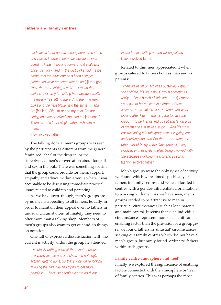I did have a lot of doubts coming here, I mean the only reason I come in here was because I was bored … I wasn't looking forward to it at all. But once I sat down and … the first bloke told me his name, told me how long he'd been a single parent and what problems that he had, [I thought] 'Hey, that's me talking that is' … I mean that bloke knows why I'm sitting here because that's the reason he's sitting there. And then the next bloke and the next bloke [said the same] … and I'm [feeling] 'Oh, I'm not on my own. I'm not sitting on a desert island shouting out [all alone]'. There are … a lot of single fathers who are out there.

(Roy, involved father)

The talking done at men's groups was seen by the participants as different from the general feminised 'chat' of the drop-in, or the stereotypical men's conversation about football and sex in the pub. There was something specific that the group could provide for them: support, empathy and advice, within a venue where it was acceptable to be discussing immediate practical issues related to children and parenting*.*

As we have seen, though, men's groups are by no means appealing to all fathers. Equally, in order to maintain their appeal even to fathers in unusual circumstances, ultimately they need to offer more than a talking shop. Members of men's groups also want to get out and do things on occasion.

One father expressed dissatisfaction with the current inactivity within the group he attended:

It's actually drifting apart at the minute because everybody just comes and chats and nothing's actually getting done. So that's why we're looking at doing the bike ride and trying to get more people in … because people want to do things

instead of just sitting around yakking all day. (Jack, involved father)

Related to this, men appreciated it when groups catered to fathers both as men and as parents:

When we're off on activities ourselves without the children, it's like a boys' group sometimes really … like a bunch of lads out … [but] I mean you have to have a certain element of that anyway. [Because] it's always damn hard work looking after kids … and it's good to have the group … to be friends and go out and let off a bit of steam and just have a laugh … And it's more positive doing it in this group than it is going out and drinking and stuff like that … And then, the other part of being in the dads' group is being involved with everything else, being involved with the activities involving the kids and all sorts. (Lenny, involved father)

Men's groups were the only types of activity we found which were aimed specifically at fathers in family centres and were all located in centres with a gender-differentiated orientation to working with men. As we have seen, men's groups tended to be attractive to men in particular circumstances (such as lone parents and main carers). It seems that such individual circumstances represent more of a significant enabling factor than the provision of a group *per se*: we found fathers in 'unusual' circumstances seeking out family centres which did not have a men's group, but rarely found 'ordinary' fathers within such groups.

#### **Family centre atmosphere and 'feel'**

Finally, we explored the significance of enabling factors connected with the atmosphere or 'feel' of family centres. This was perhaps the most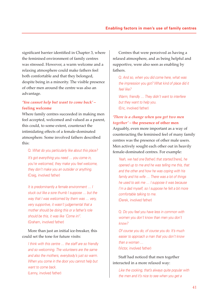significant barrier identified in Chapter 3, where the feminised environment of family centres was stressed. However, a warm welcome and a relaxing atmosphere could make fathers feel both comfortable and that they belonged, despite being in a minority. The visible presence of other men around the centre was also an advantage.

#### *'You cannot help but want to come back'* **– feeling welcome**

Where family centres succeeded in making men feel accepted, welcomed and valued as a parent, this could, to some extent, counteract the intimidating effects of a female-dominated atmosphere. Some involved fathers described this:

Q: What do you particularly like about this place? It's got everything you need … you come in, you're welcomed, they make you feel welcome, they don't make you an outsider or anything. (Craig, involved father)

It is predominantly a female environment … I stuck out like a sore thumb I suppose … but the way that I was welcomed by them was ... very, very supportive, it wasn't judgemental that a mother should be doing this or a father's role should be this, it was like 'Come in!'. (Graham, involved father)

More than just an initial ice-breaker, this could set the tone for future visits:

I think with this centre … the staff are so friendly and so welcoming. The volunteers are the same and also the mothers, everybody's just so warm. When you come in the door you cannot help but want to come back. (Lenny, involved father)

Centres that were perceived as having a relaxed atmosphere, and as being helpful and supportive, were also seen as enabling by fathers.

Q: And so, when you did come here, what was the impression you got? What kind of place did it feel like?

Warm, friendly ... They didn't want to interfere but they want to help you. (Eric, involved father)

## *'There is a change when you get two men together'* **– the presence of other men**

Arguably, even more important as a way of counteracting the feminised feel of many family centres was the presence of other male users. Men actively sought each other out in heavily female-dominated centres. For example:

Yeah, we had one [father] that started [here], he opened up to me and he was telling me this, that and the other and how he was coping with his family and his wife ... There was a lot of things he used to ask me … I suppose it was because I'm a dad myself, so I suppose he felt a bit more comfortable talking to me. (Derek, involved father)

Q: Do you feel you have less in common with women you don't know than men you don't know?

Of course you do, of course you do. It's much easier to approach a man that you don't know than a woman … (Victor, involved father)

Staff had noticed that men together interacted in a more relaxed way:

Like the cooking, that's always quite popular with the men and it's nice to see when you get a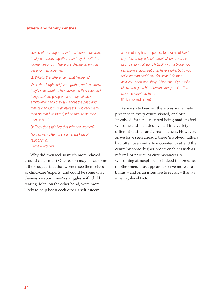couple of men together in the kitchen, they work totally differently together than they do with the women around ... There is a change when you get two men together.

Q: What's the difference, what happens? Well, they laugh and joke together, and you know they'll joke about … the women in their lives and things that are going on, and they talk about employment and they talk about the past, and they talk about mutual interests. Not very many men do that I've found, when they're on their own [in here].

Q: They don't talk like that with the women? No, not very often. It's a different kind of relationship. (Female worker)

Why did men feel so much more relaxed around other men? One reason may be, as some fathers suggested, that women see themselves as child-care 'experts' and could be somewhat dismissive about men's struggles with child rearing. Men, on the other hand, were more likely to help boost each other's self-esteem:

If Isomething has happened, for examplel like I say 'Jeeze, my kid shit herself all over, and I've had to clean it all up. Oh God' [with] a bloke, you can make a laugh out of it, have a joke, but if you tell a woman she'd say 'So what, I do that anyway', short and sharp. [Whereas] if you tell a bloke, you get a bit of praise, you get: 'Oh God, man, I couldn't do that'. (Phil, involved father)

As we stated earlier, there was some male presence in every centre visited, and our 'involved' fathers described being made to feel welcome and included by staff in a variety of different settings and circumstances. However, as we have seen already, these 'involved' fathers had often been initially motivated to attend the centre by some 'higher-order' enabler (such as referral, or particular circumstances). A welcoming atmosphere, or indeed the presence of other men, thus appears to serve more as a bonus – and as an incentive to revisit – than as an entry-level factor.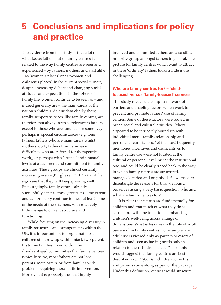## **5 Conclusions and implications for policy and practice**

The evidence from this study is that a lot of what keeps fathers out of family centres is related to the way family centres are seen and experienced – by fathers, mothers and staff alike – as 'women's places' or as 'women-andchildren's places'. In the current social climate, despite increasing debate and changing social attitudes and expectations in the sphere of family life, women continue to be seen as – and indeed generally are – the main carers of the nation's children. As our data clearly show, family-support services, like family centres, are therefore not always seen as relevant to fathers, except to those who are 'unusual' in some way – perhaps in special circumstances (e.g. lone fathers, fathers who are main carers whilst mothers work, fathers from families in difficulties who are referred for therapeutic work), or perhaps with 'special' and unusual levels of attachment and commitment to family activities. These groups are almost certainly increasing in size (Burghes *et al*., 1997), and the signs are that they will keep growing well. Encouragingly, family centres already successfully cater to these groups to some extent and can probably continue to meet at least some of the needs of these fathers, with relatively little change to current structure and functioning.

While focusing on the increasing diversity in family structures and arrangements within the UK, it is important not to forget that most children still grow up within intact, two-parent, first-time families. Even within the disadvantaged communities that family centres typically serve, most fathers are not lone parents, main carers, or from families with problems requiring therapeutic intervention. Moreover, it is probably true that highly

involved and committed fathers are also still a minority group amongst fathers in general. The picture for family centres which want to attract in these 'ordinary' fathers looks a little more challenging.

### **Who are family centres for? – 'childfocused' versus 'family-focused' services**

This study revealed a complex network of barriers and enabling factors which work to prevent and promote fathers' use of family centres. Some of these factors were rooted in broad social and cultural attitudes. Others appeared to be intricately bound up with individual men's family, relationship and personal circumstances. Yet the most frequently mentioned incentives and disincentives to family centre use were not located at the cultural or personal level, but at the institutional one, and could be clearly traced back to the way in which family centres are structured, managed, staffed and organised. As we tried to disentangle the reasons for this, we found ourselves asking a very basic question: who and what are family centres for?

It is clear that centres are fundamentally for children and that much of what they do is carried out with the intention of enhancing children's well-being across a range of dimensions. What is less clear is the role of adult users within family centres. For example, are adult users viewed only as parents or carers of children and seen as having needs only in relation to their children's needs? If so, this would suggest that family centres are best described as *child-focused*: children come first, and parents come along as part of the package. Under this definition, centres would structure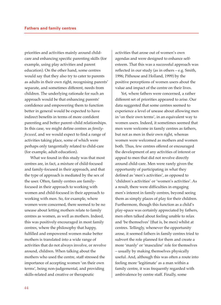priorities and activities mainly around childcare and enhancing specific parenting skills (for example, using play activities and parent education). On the other hand, some centres would say that they also try to cater to parents as adults in their own right, recognising parents' separate, and sometimes different, needs from children. The underlying rationale for such an approach would be that enhancing parents' confidence and empowering them to function better in general would be expected to have indirect benefits in terms of more confident parenting and better parent–child relationships. In this case, we might define centres as *familyfocused,* and we would expect to find a range of activities taking place, some of which were perhaps only tangentially related to child-care (for example, adult education).

What we found in this study was that most centres are, in fact, a mixture of child-focused and family-focused in their approach, and that the type of approach is mediated by the sex of the user. Often, family centres are familyfocused in their approach to working with women and child-focused in their approach to working with men. So, for example, where women were concerned, there seemed to be no unease about letting mothers relate to family centres as women, as well as mothers. Indeed, this was positively encouraged in most family centres, where the philosophy that happy, fulfilled and empowered women make better mothers is translated into a wide range of activities that do not always involve, or revolve around, children. When talking about the mothers who used the centre, staff stressed the importance of accepting women 'on their own terms', being non-judgemental, and providing skills-related and creative or therapeutic

44

activities that arose out of women's own agendas and were designed to enhance selfesteem. That this was a successful approach was reflected in our study (as in others – e.g. Smith, 1996; Pithouse and Holland, 1999) by the positive perceptions of women users about the value and impact of the centre on their lives.

Yet, where fathers were concerned, a rather different set of priorities appeared to arise. Our data suggested that some centres seemed to experience a level of unease about allowing men in 'on their own terms', in an equivalent way to women users. Indeed, it sometimes seemed that men were welcome in family centres as fathers, but not as men in their own right, whereas women were welcomed as mothers and women both. Thus, few centres offered or encouraged the development of any activities of interest or appeal to men that did not revolve directly around child-care. Men were rarely given the opportunity of participating in what they defined as 'men's activities', as opposed to 'children's activities' or 'women's activities'. As a result, there were difficulties in engaging men's interest in family centres, beyond seeing them as simply places of play for their children. Furthermore, though this function as a child's play-space was certainly appreciated by fathers, men often talked about feeling unable to relax and 'be themselves' (that is, be men) whilst at centres. Tellingly, whenever the opportunity arose, it seemed fathers in family centres tried to subvert the role planned for them and create a more 'manly' or 'masculine' role for themselves – usually by making themselves physically useful. And, although this was often a route into feeling more 'legitimate' as a man within a family centre, it was frequently regarded with ambivalence by centre staff. Finally, some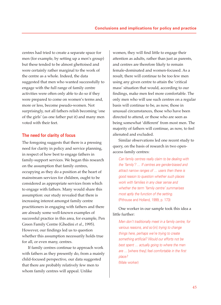centres had tried to create a separate space for men (for example, by setting up a men's group) but these tended to be almost ghettoised and were certainly rather marginal to the work of the centre as a whole. Indeed, the data suggested that men who wanted successfully to engage with the full range of family centre activities were often only able to do so if they were prepared to come on women's terms and, more or less, become pseudo-women. Not surprisingly, not all fathers relish becoming 'one of the girls' (as one father put it) and many men voted with their feet.

#### **The need for clarity of focus**

The foregoing suggests that there is a pressing need for clarity in policy and service planning, in respect of how best to engage fathers in family-support services. We began this research on the assumption that family centres, occupying as they do a position at the heart of mainstream services for children, ought to be considered as appropriate services from which to engage with fathers. Many would share this assumption: our study revealed that there is increasing interest amongst family centre practitioners in engaging with fathers and there are already some well-known examples of successful practice in this area, for example, Pen Green Family Centre (Ghedini *et al*., 1995). However, our findings led us to question whether this assumption necessarily holds true for all, or even many, centres.

If family centres continue to approach work with fathers as they presently do, from a mainly child-focused perspective, our data suggested that there are probably relatively few men to whom family centres will appeal. Unlike

women, they will find little to engage their attention as adults, rather than just as parents, and centres are therefore likely to remain female-dominated and women-focused. As a result, there will continue to be too few men using any given centre to attain the 'critical mass' situation that would, according to our findings, make men feel more comfortable. The only men who will use such centres on a regular basis will continue to be, as now, those in unusual circumstances, those who have been directed to attend, or those who are seen as being somewhat 'different' from most men. The majority of fathers will continue, as now, to feel alienated and excluded.

Similar observations led one recent study to query, on the basis of research in two openaccess family centres:

Can family centres really claim to be dealing with the 'family'? … If centres are gender-biased and attract narrow ranges of … users then there is good reason to question whether such places work with families in any clear sense and whether the term 'family centre' summarises most aptly the function of the setting. (Pithouse and Holland, 1999, p. 173)

One worker in our sample took this idea a little further:

Men don't traditionally meet in a family centre, for various reasons, and so [in] trying to change things here, perhaps we're trying to create something artificial? Would our efforts not be best spent … actually going to where the men are … [where they] feel comfortable in the first place? (Male worker)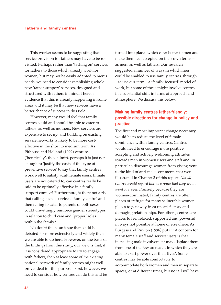This worker seems to be suggesting that service provision for fathers may have to be revisited. Perhaps rather than 'tacking on' services for fathers to those which already work for women, but may not be easily adapted to men's needs, we need to consider establishing whole new 'father-support' services, designed and structured with fathers in mind. There is evidence that this is already happening in some areas and it may be that new services have a better chance of success in this field.

However, many would feel that family centres could and should be able to cater to fathers, as well as mothers. New services are expensive to set up, and building on existing service networks is likely to be more costeffective in the short to medium term. As Pithouse and Holland (1999) venture, ('heretically', they admit), perhaps it is just not enough to 'justify the costs of this type of preventive service' to say that family centres work well to satisfy adult female users. If male users are not catered to, can centres really be said to be optimally effective in a familysupport context? Furthermore, is there not a risk that calling such a service a 'family centre' and then failing to cater to parents of both sexes could unwittingly reinforce gender stereotypes, in relation to child care and 'proper' roles within the family?

No doubt this is an issue that could be debated far more extensively and widely than we are able to do here. However, on the basis of the findings from this study, our view is that, if it is considered appropriate to try to engage with fathers, then at least some of the existing national network of family centres might well prove ideal for this purpose. First, however, we need to consider how centres can do this and be

turned into places which cater better to men and make them feel accepted on their own terms – as men, as well as fathers. Our research suggested a number of ways in which men could be enabled to use family centres, through – to use our term – a 'family-focused' model of work, but some of these might involve centres in a substantial shift in terms of approach and atmosphere. We discuss this below.

## **Making family centres father-friendly: possible directions for change in policy and practice**

The first and most important change necessary would be to reduce the level of female dominance within family centres. Centres would need to encourage more positive, accepting and actively welcoming attitudes towards men in women users and staff and, in particular, discourage women from giving vent to the kind of anti-male sentiments that were illustrated in Chapter 3 of this report. *Not all centres would regard this as a route that they would want to travel*. Precisely because they are women-dominated, family centres are often places of 'refuge' for many vulnerable women – places to get away from unsatisfactory and damaging relationships. For others, centres are places to feel relaxed, supported and powerful in ways not possible at home or elsewhere. As Burgess and Ruxton (1996) put it: 'A concern for many female staff and service users is that increasing male involvement may displace them from one of the few arenas … in which they are able to exert power over their lives'. Some centres may be able comfortably to accommodate both women and men in separate spaces, or at different times, but not all will have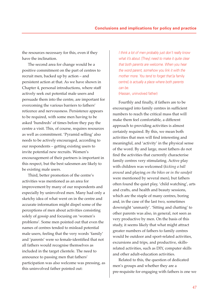the resources necessary for this, even if they have the inclination.

The second area for change would be a positive commitment on the part of centres to recruit men, backed up by action – and persistent action at that. As we have shown in Chapter 4, personal introductions, where staff actively seek out potential male users and persuade them into the centre, are important for overcoming the various barriers to fathers' reticence and nervousness. Persistence appears to be required, with some men having to be asked 'hundreds' of times before they pay the centre a visit. This, of course, requires resources as well as commitment. 'Pyramid selling' also needs to be actively encouraged, according to our respondents – getting existing users to invite potential new recruits. Women's encouragement of their partners is important in this respect, but the best salesmen are likely to be existing male users.

Third, better promotion of the centre's activities was mentioned as an area for improvement by many of our respondents and especially by uninvolved men. Many had only a sketchy idea of what went on in the centre and accurate information might dispel some of the perceptions of men about activities consisting solely of gossip and focusing on 'women's problems'. Some men pointed out that even the names of centres tended to mislead potential male users, feeling that the very words 'family' and 'parents' were so female-identified that not all fathers would recognise themselves as included in the target clientele. The need to announce to passing men that fathers' participation was also welcome was pressing, as this uninvolved father pointed out:

I think a lot of men probably just don't really know what it's about. [They] need to make it quite clear that both parents are welcome. When you hear the word parent, somehow you link it with the mother more. You tend to forget that Ia family centre] is actually a place where both parents can be.

(Hassan, uninvolved father)

Fourthly and finally, if fathers are to be encouraged into family centres in sufficient numbers to reach the critical mass that will make them feel comfortable, a different approach to providing activities is almost certainly required. By this, we mean both activities that men will find interesting and meaningful, and 'activity' in the physical sense of the word. By and large, most fathers do not find the activities that currently characterise family centres very stimulating. Active play with children was welcomed (*kicking a ball around* and playing *on the bikes* or *in the sandpit* were mentioned by several men), but fathers often found the quiet play, 'child watching', arts and crafts, and health and beauty sessions, which are the staple of many centres, boring and, in the case of the last two, sometimes downright 'unmanly'. 'Sitting and chatting' to other parents was also, in general, not seen as very productive by men. On the basis of this study, it seems likely that what might attract greater numbers of fathers to family centres would be outdoor and sport-related activities, excursions and trips, and productive, skillsrelated activities, such as DIY, computer skills and other adult-education activities.

Related to this, the question of dedicated men's groups and whether they are a pre-requisite for engaging with fathers is one we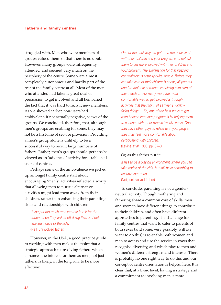struggled with. Men who were members of groups valued them; of that there is no doubt. However, many groups were infrequently attended, and seemed very much on the periphery of the centre. Some were almost completely autonomous and hardly part of the rest of the family centre at all. Most of the men who attended had taken a great deal of persuasion to get involved and all bemoaned the fact that it was hard to recruit new members. As we showed earlier, non-users had ambivalent, if not actually negative, views of the groups. We concluded, therefore, that, although men's groups are enabling for some, they may not be a first-line of service provision. Providing a men's group alone is unlikely to be a successful way to recruit large numbers of fathers. Rather, men's groups should perhaps be viewed as an 'advanced' activity for established users of centres.

Perhaps some of the ambivalence we picked up amongst family centre staff about encouraging 'men's' activities reflected a worry that allowing men to pursue alternative activities might lead them away from their children, rather than enhancing their parenting skills and relationships with children:

If you put too much men interest into it for the fathers, then they will be off doing that, and not take any notice of the kids. (Neil, uninvolved father)

However, in the USA, a good practice guide to working with men makes the point that a strategic approach to involving fathers which enhances the interest for them as men, not just fathers, is likely, in the long run, to be more effective:

One of the best ways to get men more involved with their children and your program is to not ask them to get more involved with their children and your program. The explanation for that puzzling contradiction is actually quite simple. Before they can take care of their children's needs, all parents need to feel that someone is helping take care of their needs … For many men, the most comfortable way to get involved is through activities that they think of as 'men's work' – fixing things … So, one of the best ways to get men hooked into your program is by helping them to connect with other men in 'manly' ways. Once they have other guys to relate to in your program they may feel more comfortable about participating with children. (Levine et al. 1993, pp. 37–8)

#### Or, as this father put it:

It has to be a playing environment where you can take notice of the kids, but still have something to occupy your mind. (Neil, uninvolved father)

To conclude, parenting is not a genderneutral activity. Though mothering and fathering share a common core of skills, men and women have different things to contribute to their children, and often have different approaches to parenting. The challenge for family centres that want to cater to parents of both sexes (and some, very possibly, will *not* want to do this) is to enable both women and men to access and use the service in ways that recognise diversity, and which play to men and women's different strengths and interests. There is probably no one right way to do this and our concept of centre orientation is helpful here. It is clear that, at a basic level, having a strategy and a commitment to involving men is more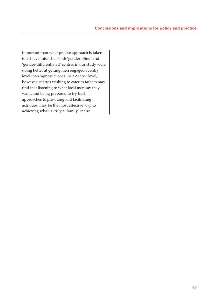important than what precise approach is taken to achieve this. Thus both 'gender-blind' and 'gender-differentiated' centres in our study were doing better at getting men engaged at entry level than 'agnostic' ones. At a deeper level, however, centres wishing to cater to fathers may find that listening to what local men say they want, and being prepared to try fresh approaches to providing and facilitating activities, may be the most effective way to achieving what is truly a 'family' centre.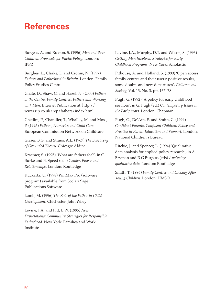## **References**

Burgess, A. and Ruxton, S. (1996) *Men and their Children: Proposals for Public Policy.* London: IPPR

Burghes, L., Clarke, L. and Cronin, N. (1997) *Fathers and Fatherhood in Britain.* London: Family Policy Studies Centre

Ghate, D., Shaw, C. and Hazel, N. (2000) *Fathers at the Centre: Family Centres, Fathers and Working with Men.* Internet Publication at: http:// www.rip.co.uk/rep/fathers/index.html

Ghedini, P., Chandler, T., Whalley, M. and Moss, P. (1995) *Fathers, Nurseries and Child Care.* European Commission Network on Childcare

Glaser, B.G. and Straus, A.L. (1967) *The Discovery of Grounded Theory.* Chicago: Aldine

Kraemer, S. (1995) 'What are fathers for?', in C. Burke and B. Speed (eds) *Gender, Power and Relationships*. London: Routledge

Kuckartz, U. (1998) WinMax Pro (software program) available from Scolari Sage Publications Software

Lamb, M. (1996) *The Role of the Father in Child Development.* Chichester: John Wiley

Levine, J.A. and Pitt, E.W. (1995) *New Expectations: Community Strategies for Responsible Fatherhood.* New York: Families and Work Institute

Levine, J.A., Murphy, D.T. and Wilson, S. (1993) *Getting Men Involved: Strategies for Early Childhood Programs.* New York: Scholastic

Pithouse, A. and Holland, S. (1999) 'Open access family centres and their users: positive results, some doubts and new departures', *Children and Society,* Vol. 13, No. 3, pp. 167–78

Pugh, G. (1992) 'A policy for early childhood services', in G. Pugh (ed.) *Contemporary Issues in the Early Years.* London: Chapman

Pugh, G., De'Ath, E. and Smith, C. (1994) *Confident Parents, Confident Children: Policy and Practice in Parent Education and Support.* London: National Children's Bureau

Ritchie, J. and Spencer, L. (1994) 'Qualitative data analysis for applied policy research', in A. Bryman and R.G Burgess (eds) *Analyzing qualitative data.* London: Routledge

Smith, T. (1996) *Family Centres and Looking After Young Children.* London: HMSO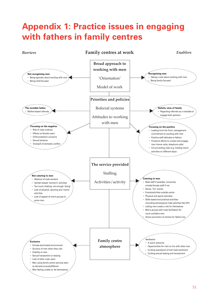# **Appendix 1: Practice issues in engaging with fathers in family centres**

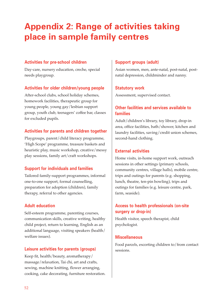# **Appendix 2: Range of activities taking place in sample family centres**

## **Activities for pre-school children**

Day-care, nursery education, creche, special needs playgroup.

## **Activities for older children/young people**

After-school clubs, school holiday schemes, homework facilities, therapeutic group for young people, young gay/lesbian support group, youth club, teenagers' coffee bar, classes for excluded pupils.

## **Activities for parents and children together**

Playgroups, parent/child literacy programme, 'High Scope' programme, treasure baskets and heuristic play, music workshop, creative/messy play sessions, family art/craft workshops.

## **Support for individuals and families**

Tailored family-support programmes, informal one-to-one support, formal counselling, preparation for adoption (children), family therapy, referral to other agencies.

## **Adult education**

Self-esteem programme, parenting courses, communication skills, creative writing, healthy child project, return to learning, English as an additional language, visiting speakers (health/ welfare issues).

## **Leisure activities for parents (groups)**

Keep fit, health/beauty, aromatherapy/ massage/relaxation, Tai chi, art and crafts, sewing, machine knitting, flower arranging, cooking, cake decorating, furniture restoration.

## **Support groups (adult)**

Asian women, men, ante-natal, post-natal, postnatal depression, childminder and nanny.

## **Statutory work**

Assessment, supervised contact.

## **Other facilities and services available to families**

Adult/children's library, toy library, drop-in area, office facilities, bath/shower, kitchen and laundry facilities, saving/credit union schemes, second-hand clothing.

## **External activities**

Home visits, in-home support work, outreach sessions in other settings (primary schools, community centres, village halls), mobile centre, trips and outings for parents (e.g. shopping, lunch, theatre, ten-pin bowling), trips and outings for families (e.g. leisure centre, park, farm, seaside).

## **Access to health professionals (on-site surgery or drop-in)**

Health visitor, speech therapist, child psychologist.

## **Miscellaneous**

Food parcels, escorting children to/from contact sessions.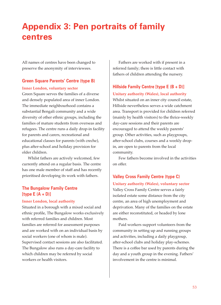# **Appendix 3: Pen portraits of family centres**

All names of centres have been changed to preserve the anonymity of interviewees.

## **Green Square Parents' Centre (type B)**

#### **Inner London, voluntary sector**

Green Square serves the families of a diverse and densely populated area of inner London. The immediate neighbourhood contains a substantial Bengali community and a wide diversity of other ethnic groups, including the families of mature students from overseas and refugees. The centre runs a daily drop-in facility for parents and carers, recreational and educational classes for parents (with creche), plus after-school and holiday provision for older children.

Whilst fathers are actively welcomed, few currently attend on a regular basis. The centre has one male member of staff and has recently prioritised developing its work with fathers.

## **The Bungalow Family Centre [type E (A + D)]**

#### **Inner London, local authority**

Situated in a borough with a mixed social and ethnic profile, The Bungalow works exclusively with referred families and children. Most families are referred for assessment purposes and are worked with on an individual basis by social workers (one of whom is male). Supervised contact sessions are also facilitated. The Bungalow also runs a day-care facility to which children may be referred by social workers or health visitors.

Fathers are worked with if present in a referred family; there is little contact with fathers of children attending the nursery.

## **Hillside Family Centre [type E (B + D)]**

**Unitary authority (Wales), local authority** Whilst situated on an inner city council estate, Hillside nevertheless serves a wide catchment area. Transport is provided for children referred (mainly by health visitors) to the thrice-weekly day-care sessions and their parents are encouraged to attend the weekly parents' group. Other activities, such as playgroups, after-school clubs, courses and a weekly dropin, are open to parents from the local community.

Few fathers become involved in the activities on offer.

## **Valley Cross Family Centre (type C)**

## **Unitary authority (Wales), voluntary sector**

Valley Cross Family Centre serves a fairly isolated estate some distance from the city centre, an area of high unemployment and deprivation. Many of the families on the estate are either reconstituted, or headed by lone mothers.

Paid workers support volunteers from the community in setting up and running groups and activities, including a daily playgroup, after-school clubs and holiday play-schemes. There is a coffee bar used by parents during the day and a youth group in the evening. Fathers' involvement in the centre is minimal.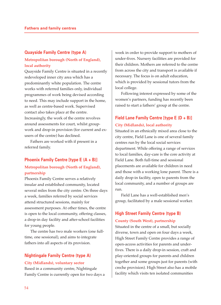#### **Quayside Family Centre (type A)**

## **Metropolitan borough (North of England), local authority**

Quayside Family Centre is situated in a recently redeveloped inner city area which has a predominantly white population. The centre works with referred families only, individual programmes of work being devised according to need. This may include support in the home, as well as centre-based work. Supervised contact also takes place at the centre. Increasingly, the work of the centre revolves around assessments for court, whilst groupwork and drop-in provision (for current and exusers of the centre) has declined.

Fathers are worked with if present in a referred family.

## **Phoenix Family Centre [type E (A + B)] Metropolitan borough (North of England), partnership**

Phoenix Family Centre serves a relatively insular and established community, located several miles from the city centre. On three days a week, families referred by social services attend structured sessions, mainly for assessment purposes. At other times, the centre is open to the local community, offering classes, a drop-in day facility and after-school facilities for young people.

The centre has two male workers (one fulltime, one sessional), and aims to integrate fathers into all aspects of its provision.

## **Nightingale Family Centre (type A)**

#### **City (Midlands), voluntary sector**

Based in a community centre, Nightingale Family Centre is currently open for two days a

week in order to provide support to mothers of under-fives. Nursery facilities are provided for their children. Mothers are referred to the centre from across the city and transport is available if necessary. The focus is on adult education, which is provided by sessional tutors from the local college.

Following interest expressed by some of the women's partners, funding has recently been raised to start a fathers' group at the centre.

## **Field Lane Family Centre [type E (D + B)] City (Midlands), local authority**

Situated in an ethnically mixed area close to the city centre, Field Lane is one of several family centres run by the local social services department. While offering a range of services to local families, day-care is the core activity at Field Lane. Both full-time and sessional placements are available for children in need and those with a working lone parent. There is a daily drop-in facility, open to parents from the local community, and a number of groups are run.

Field Lane has a well-established men's group, facilitated by a male sessional worker.

## **High Street Family Centre (type B) County (South West), partnership**

Situated in the centre of a small, but socially diverse, town and open on four days a week, High Street Family Centre provides a range of open-access activities for parents and underfives. There is a daily drop-in session, craft and play-oriented groups for parents and children together and some groups just for parents (with creche provision). High Street also has a mobile facility which visits ten isolated communities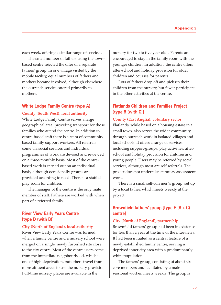each week, offering a similar range of services.

The small number of fathers using the townbased centre rejected the offer of a separate fathers' group. In one village visited by the mobile facility, equal numbers of fathers and mothers became involved, although elsewhere the outreach service catered primarily to mothers.

### **White Lodge Family Centre (type A)**

**County (South West), local authority**

White Lodge Family Centre serves a large geographical area, providing transport for those families who attend the centre. In addition to centre-based staff there is a team of communitybased family support workers. All referrals come via social services and individual programmes of work are devised and reviewed on a three-monthly basis. Most of the centrebased work is carried out on an individual basis, although occasionally groups are provided according to need. There is a staffed play room for children.

The manager of the centre is the only male member of staff. Fathers are worked with when part of a referred family.

#### **River View Early Years Centre [type D (with B)]**

#### **City (North of England), local authority**

River View Early Years Centre was formed when a family centre and a nursery school were merged on a single, newly furbished site close to the city centre. Most of the centre users come from the immediate neighbourhood, which is one of high deprivation, but others travel from more affluent areas to use the nursery provision. Full-time nursery places are available in the

nursery for two to five year olds. Parents are encouraged to stay in the family room with the younger children. In addition, the centre offers after-school and holiday provision for older children and courses for parents.

Lots of fathers drop off and pick up their children from the nursery, but fewer participate in the other activities at the centre.

## **Flatlands Children and Families Project [type B (with C)]**

#### **County (East Anglia), voluntary sector**

Flatlands, while based on a housing estate in a small town, also serves the wider community through outreach work in isolated villages and local schools. It offers a range of services, including support-groups, play activities, afterschool and holiday provision for children and young people. Users may be referred by social services, although most are self-referrals. The project does not undertake statutory assessment work.

There is a small self-run men's group, set up by a local father, which meets weekly at the project.

## **Brownfield fathers' group [type E (B + C) centre]**

#### **City (North of England), partnership**

Brownfield fathers' group had been in existence for less than a year at the time of the interviews. It had been initiated as a central feature of a newly established family centre, serving a deprived inner city area with a predominantly white population.

The fathers' group, consisting of about six core members and facilitated by a male sessional worker, meets weekly. The group is